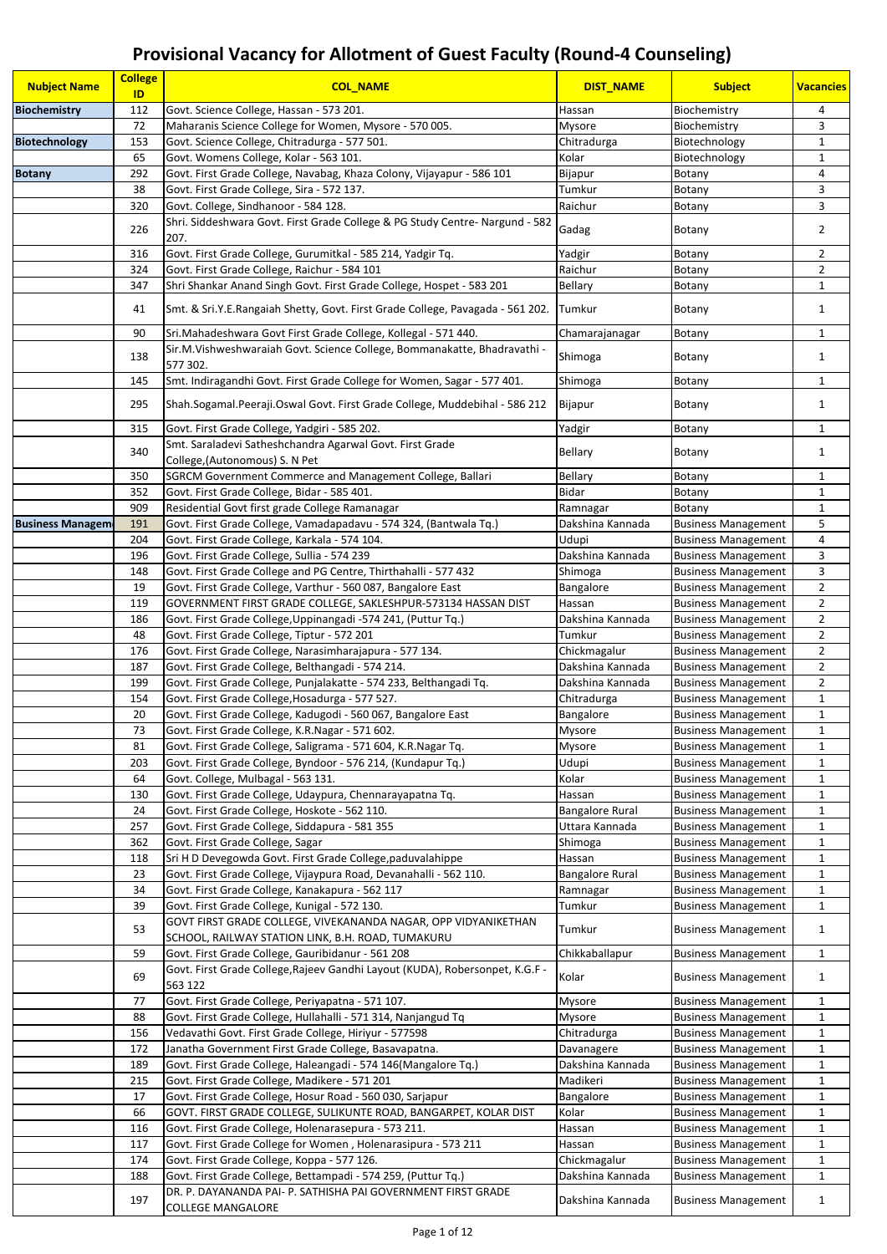## **Provisional Vacancy for Allotment of Guest Faculty (Round-4 Counseling)**

| <b>Nubject Name</b>     | <b>College</b><br>ID | <b>COL NAME</b>                                                                                                                                        | <b>DIST_NAME</b>            | <b>Subject</b>                                           | <b>Vacancies</b>               |
|-------------------------|----------------------|--------------------------------------------------------------------------------------------------------------------------------------------------------|-----------------------------|----------------------------------------------------------|--------------------------------|
| <b>Biochemistry</b>     | 112                  | Govt. Science College, Hassan - 573 201.                                                                                                               | Hassan                      | Biochemistry                                             | 4                              |
|                         | 72                   | Maharanis Science College for Women, Mysore - 570 005.                                                                                                 | Mysore                      | Biochemistry                                             | 3                              |
| <b>Biotechnology</b>    | 153                  | Govt. Science College, Chitradurga - 577 501.                                                                                                          | Chitradurga                 | Biotechnology                                            | 1                              |
|                         | 65                   | Govt. Womens College, Kolar - 563 101.                                                                                                                 | Kolar                       | Biotechnology                                            | $\mathbf 1$                    |
| <b>Botany</b>           | 292                  | Govt. First Grade College, Navabag, Khaza Colony, Vijayapur - 586 101                                                                                  | Bijapur                     | Botany                                                   | 4                              |
|                         | 38                   | Govt. First Grade College, Sira - 572 137.                                                                                                             | Tumkur                      | Botany                                                   | 3                              |
|                         | 320                  | Govt. College, Sindhanoor - 584 128.<br>Shri. Siddeshwara Govt. First Grade College & PG Study Centre- Nargund - 582                                   | Raichur                     | Botany                                                   | 3                              |
|                         | 226                  | 207.                                                                                                                                                   | Gadag                       | Botany                                                   | $\overline{2}$                 |
|                         | 316                  | Govt. First Grade College, Gurumitkal - 585 214, Yadgir Tq.                                                                                            | Yadgir                      | Botany                                                   | 2                              |
|                         | 324                  | Govt. First Grade College, Raichur - 584 101                                                                                                           | Raichur                     | Botany                                                   | $\overline{2}$<br>$\mathbf{1}$ |
|                         | 347<br>41            | Shri Shankar Anand Singh Govt. First Grade College, Hospet - 583 201<br>Smt. & Sri.Y.E.Rangaiah Shetty, Govt. First Grade College, Pavagada - 561 202. | Bellary<br>Tumkur           | Botany<br>Botany                                         | $\mathbf{1}$                   |
|                         | 90                   | Sri.Mahadeshwara Govt First Grade College, Kollegal - 571 440.                                                                                         | Chamarajanagar              | <b>Botany</b>                                            | $\mathbf{1}$                   |
|                         |                      | Sir.M.Vishweshwaraiah Govt. Science College, Bommanakatte, Bhadravathi -                                                                               |                             |                                                          |                                |
|                         | 138                  | 577 302.                                                                                                                                               | Shimoga                     | Botany                                                   | $\mathbf{1}$                   |
|                         | 145                  | Smt. Indiragandhi Govt. First Grade College for Women, Sagar - 577 401.                                                                                | Shimoga                     | Botany                                                   | $\mathbf{1}$                   |
|                         | 295                  | Shah.Sogamal.Peeraji.Oswal Govt. First Grade College, Muddebihal - 586 212                                                                             | <b>Bijapur</b>              | Botany                                                   | $\mathbf{1}$                   |
|                         | 315                  | Govt. First Grade College, Yadgiri - 585 202.                                                                                                          | Yadgir                      | Botany                                                   | 1                              |
|                         | 340                  | Smt. Saraladevi Satheshchandra Agarwal Govt. First Grade                                                                                               | Bellary                     | Botany                                                   | $\mathbf{1}$                   |
|                         |                      | College, (Autonomous) S. N Pet                                                                                                                         |                             |                                                          |                                |
|                         | 350                  | SGRCM Government Commerce and Management College, Ballari                                                                                              | Bellary                     | Botany                                                   | 1                              |
|                         | 352                  | Govt. First Grade College, Bidar - 585 401.                                                                                                            | Bidar                       | Botany                                                   | $\mathbf{1}$                   |
|                         | 909                  | Residential Govt first grade College Ramanagar                                                                                                         | Ramnagar                    | Botany                                                   | $\mathbf{1}$                   |
| <b>Business Managem</b> | 191                  | Govt. First Grade College, Vamadapadavu - 574 324, (Bantwala Tq.)                                                                                      | Dakshina Kannada            | <b>Business Management</b>                               | 5                              |
|                         | 204                  | Govt. First Grade College, Karkala - 574 104.                                                                                                          | Udupi                       | <b>Business Management</b>                               | 4                              |
|                         | 196<br>148           | Govt. First Grade College, Sullia - 574 239<br>Govt. First Grade College and PG Centre, Thirthahalli - 577 432                                         | Dakshina Kannada<br>Shimoga | <b>Business Management</b><br><b>Business Management</b> | 3<br>3                         |
|                         | 19                   | Govt. First Grade College, Varthur - 560 087, Bangalore East                                                                                           | <b>Bangalore</b>            | <b>Business Management</b>                               | $\overline{2}$                 |
|                         | 119                  | GOVERNMENT FIRST GRADE COLLEGE, SAKLESHPUR-573134 HASSAN DIST                                                                                          | Hassan                      | <b>Business Management</b>                               | $\overline{2}$                 |
|                         | 186                  | Govt. First Grade College, Uppinangadi -574 241, (Puttur Tq.)                                                                                          | Dakshina Kannada            | <b>Business Management</b>                               | $\overline{2}$                 |
|                         | 48                   | Govt. First Grade College, Tiptur - 572 201                                                                                                            | Tumkur                      | <b>Business Management</b>                               | $\overline{2}$                 |
|                         | 176                  | Govt. First Grade College, Narasimharajapura - 577 134.                                                                                                | Chickmagalur                | <b>Business Management</b>                               | $\overline{2}$                 |
|                         | 187                  | Govt. First Grade College, Belthangadi - 574 214.                                                                                                      | Dakshina Kannada            | <b>Business Management</b>                               | $\overline{2}$                 |
|                         | 199                  | Govt. First Grade College, Punjalakatte - 574 233, Belthangadi Tq.                                                                                     | Dakshina Kannada            | <b>Business Management</b>                               | $\overline{2}$                 |
|                         | 154                  | Govt. First Grade College, Hosadurga - 577 527.                                                                                                        | Chitradurga                 | <b>Business Management</b>                               | $\mathbf 1$                    |
|                         | 20                   | Govt. First Grade College, Kadugodi - 560 067, Bangalore East                                                                                          | Bangalore                   | <b>Business Management</b>                               | $\mathbf{1}$                   |
|                         | 73                   | Govt. First Grade College, K.R.Nagar - 571 602.                                                                                                        | <b>Mysore</b><br>Mysore     | <b>Business Management</b><br><b>Business Management</b> | $\mathbf{1}$                   |
|                         | 81<br>203            | Govt. First Grade College, Saligrama - 571 604, K.R.Nagar Tq.<br>Govt. First Grade College, Byndoor - 576 214, (Kundapur Tq.)                          | Udupi                       | <b>Business Management</b>                               | $\mathbf{1}$<br>$\mathbf{1}$   |
|                         | 64                   | Govt. College, Mulbagal - 563 131.                                                                                                                     | Kolar                       | <b>Business Management</b>                               | $\mathbf{1}$                   |
|                         | 130                  | Govt. First Grade College, Udaypura, Chennarayapatna Tq.                                                                                               | Hassan                      | <b>Business Management</b>                               | $\mathbf{1}$                   |
|                         | 24                   | Govt. First Grade College, Hoskote - 562 110.                                                                                                          | <b>Bangalore Rural</b>      | <b>Business Management</b>                               | 1                              |
|                         | 257                  | Govt. First Grade College, Siddapura - 581 355                                                                                                         | Uttara Kannada              | <b>Business Management</b>                               | $\mathbf{1}$                   |
|                         | 362                  | Govt. First Grade College, Sagar                                                                                                                       | Shimoga                     | <b>Business Management</b>                               | 1                              |
|                         | 118                  | Sri H D Devegowda Govt. First Grade College, paduvalahippe                                                                                             | Hassan                      | <b>Business Management</b>                               | $\mathbf{1}$                   |
|                         | 23                   | Govt. First Grade College, Vijaypura Road, Devanahalli - 562 110.                                                                                      | <b>Bangalore Rural</b>      | <b>Business Management</b>                               | $\mathbf{1}$                   |
|                         | 34                   | Govt. First Grade College, Kanakapura - 562 117                                                                                                        | Ramnagar                    | <b>Business Management</b>                               | $\mathbf{1}$                   |
|                         | 39                   | Govt. First Grade College, Kunigal - 572 130.                                                                                                          | Tumkur                      | <b>Business Management</b>                               | $\mathbf{1}$                   |
|                         | 53                   | GOVT FIRST GRADE COLLEGE, VIVEKANANDA NAGAR, OPP VIDYANIKETHAN<br>SCHOOL, RAILWAY STATION LINK, B.H. ROAD, TUMAKURU                                    | Tumkur                      | <b>Business Management</b>                               | $\mathbf{1}$                   |
|                         | 59                   | Govt. First Grade College, Gauribidanur - 561 208                                                                                                      | Chikkaballapur              | <b>Business Management</b>                               | $\mathbf{1}$                   |
|                         | 69                   | Govt. First Grade College, Rajeev Gandhi Layout (KUDA), Robersonpet, K.G.F -<br>563 122                                                                | Kolar                       | <b>Business Management</b>                               | $\mathbf{1}$                   |
|                         | 77                   | Govt. First Grade College, Periyapatna - 571 107.                                                                                                      | Mysore                      | <b>Business Management</b>                               | $\mathbf{1}$                   |
|                         | 88                   | Govt. First Grade College, Hullahalli - 571 314, Nanjangud Tq                                                                                          | Mysore                      | <b>Business Management</b>                               | $\mathbf{1}$                   |
|                         | 156                  | Vedavathi Govt. First Grade College, Hiriyur - 577598                                                                                                  | Chitradurga                 | <b>Business Management</b>                               | $\mathbf{1}$                   |
|                         | 172                  | Janatha Government First Grade College, Basavapatna.                                                                                                   | Davanagere                  | <b>Business Management</b>                               | $\mathbf{1}$                   |
|                         | 189                  | Govt. First Grade College, Haleangadi - 574 146(Mangalore Tq.)                                                                                         | Dakshina Kannada            | <b>Business Management</b>                               | $\mathbf{1}$                   |
|                         | 215                  | Govt. First Grade College, Madikere - 571 201                                                                                                          | Madikeri                    | <b>Business Management</b>                               | $\mathbf{1}$                   |
|                         | 17                   | Govt. First Grade College, Hosur Road - 560 030, Sarjapur                                                                                              | Bangalore                   | <b>Business Management</b>                               | 1                              |
|                         | 66                   | GOVT. FIRST GRADE COLLEGE, SULIKUNTE ROAD, BANGARPET, KOLAR DIST                                                                                       | Kolar                       | <b>Business Management</b>                               | $\mathbf{1}$                   |
|                         | 116<br>117           | Govt. First Grade College, Holenarasepura - 573 211.<br>Govt. First Grade College for Women, Holenarasipura - 573 211                                  | Hassan<br>Hassan            | <b>Business Management</b><br><b>Business Management</b> | $\mathbf{1}$<br>$\mathbf{1}$   |
|                         | 174                  | Govt. First Grade College, Koppa - 577 126.                                                                                                            | Chickmagalur                | <b>Business Management</b>                               | $\mathbf{1}$                   |
|                         | 188                  | Govt. First Grade College, Bettampadi - 574 259, (Puttur Tq.)                                                                                          | Dakshina Kannada            | <b>Business Management</b>                               | $\mathbf{1}$                   |
|                         |                      | DR. P. DAYANANDA PAI- P. SATHISHA PAI GOVERNMENT FIRST GRADE                                                                                           |                             |                                                          |                                |
|                         | 197                  | <b>COLLEGE MANGALORE</b>                                                                                                                               | Dakshina Kannada            | <b>Business Management</b>                               | $\mathbf{1}$                   |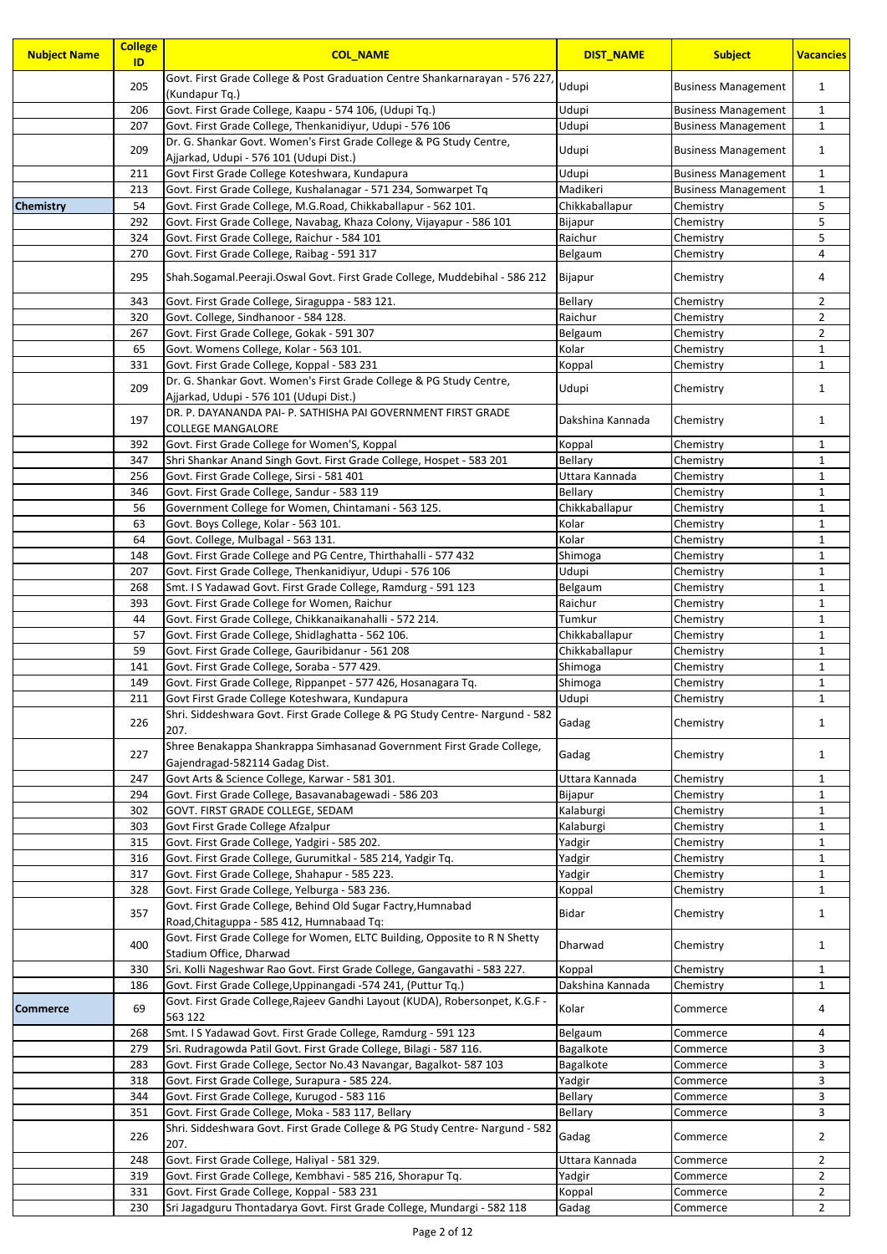| <b>Nubject Name</b> | <b>College</b><br>ID | <b>COL NAME</b>                                                                                                | <b>DIST_NAME</b> | <b>Subject</b>             | <b>Vacancies</b>             |
|---------------------|----------------------|----------------------------------------------------------------------------------------------------------------|------------------|----------------------------|------------------------------|
|                     | 205                  | Govt. First Grade College & Post Graduation Centre Shankarnarayan - 576 227, Udupi<br>(Kundapur Tq.)           |                  | <b>Business Management</b> | $\mathbf{1}$                 |
|                     | 206                  | Govt. First Grade College, Kaapu - 574 106, (Udupi Tq.)                                                        | Udupi            | <b>Business Management</b> | $\mathbf{1}$                 |
|                     | 207                  | Govt. First Grade College, Thenkanidiyur, Udupi - 576 106                                                      | Udupi            | <b>Business Management</b> | $\mathbf{1}$                 |
|                     | 209                  | Dr. G. Shankar Govt. Women's First Grade College & PG Study Centre,<br>Ajjarkad, Udupi - 576 101 (Udupi Dist.) | Udupi            | <b>Business Management</b> | $\mathbf{1}$                 |
|                     | 211                  | Govt First Grade College Koteshwara, Kundapura                                                                 | Udupi            | <b>Business Management</b> | $\mathbf{1}$                 |
|                     | 213                  | Govt. First Grade College, Kushalanagar - 571 234, Somwarpet Tq                                                | Madikeri         | <b>Business Management</b> | $\mathbf{1}$                 |
| Chemistry           | 54                   | Govt. First Grade College, M.G.Road, Chikkaballapur - 562 101.                                                 | Chikkaballapur   | Chemistry                  | 5                            |
|                     | 292                  | Govt. First Grade College, Navabag, Khaza Colony, Vijayapur - 586 101                                          | Bijapur          | Chemistry                  | 5                            |
|                     | 324                  | Govt. First Grade College, Raichur - 584 101                                                                   | Raichur          | Chemistry                  | 5                            |
|                     | 270                  | Govt. First Grade College, Raibag - 591 317                                                                    | Belgaum          | Chemistry                  | 4                            |
|                     | 295                  | Shah.Sogamal.Peeraji.Oswal Govt. First Grade College, Muddebihal - 586 212                                     | Bijapur          | Chemistry                  | 4                            |
|                     | 343                  | Govt. First Grade College, Siraguppa - 583 121.                                                                | <b>Bellary</b>   | Chemistry                  | 2                            |
|                     | 320                  | Govt. College, Sindhanoor - 584 128.                                                                           | Raichur          | Chemistry                  | $\overline{2}$               |
|                     | 267                  | Govt. First Grade College, Gokak - 591 307                                                                     | Belgaum          | Chemistry                  | $\overline{2}$               |
|                     | 65                   | Govt. Womens College, Kolar - 563 101.                                                                         | Kolar            | Chemistry                  | $\mathbf{1}$                 |
|                     | 331                  | Govt. First Grade College, Koppal - 583 231                                                                    | Koppal           | Chemistry                  | $\mathbf{1}$                 |
|                     |                      | Dr. G. Shankar Govt. Women's First Grade College & PG Study Centre,                                            |                  |                            |                              |
|                     | 209                  | Ajjarkad, Udupi - 576 101 (Udupi Dist.)<br>DR. P. DAYANANDA PAI- P. SATHISHA PAI GOVERNMENT FIRST GRADE        | Udupi            | Chemistry                  | $\mathbf{1}$                 |
|                     | 197                  | <b>COLLEGE MANGALORE</b>                                                                                       | Dakshina Kannada | Chemistry                  | $\mathbf{1}$                 |
|                     | 392                  | Govt. First Grade College for Women'S, Koppal                                                                  | Koppal           | Chemistry                  | $\mathbf{1}$                 |
|                     | 347                  | Shri Shankar Anand Singh Govt. First Grade College, Hospet - 583 201                                           | Bellary          | Chemistry                  | $\mathbf{1}$                 |
|                     | 256                  | Govt. First Grade College, Sirsi - 581 401                                                                     | Uttara Kannada   | Chemistry                  | $\mathbf{1}$                 |
|                     | 346                  | Govt. First Grade College, Sandur - 583 119                                                                    | Bellary          | Chemistry                  | $\mathbf{1}$                 |
|                     | 56                   | Government College for Women, Chintamani - 563 125.                                                            | Chikkaballapur   | Chemistry                  | $\mathbf{1}$                 |
|                     | 63<br>64             | Govt. Boys College, Kolar - 563 101.                                                                           | Kolar<br>Kolar   | Chemistry                  | $\mathbf{1}$<br>$\mathbf{1}$ |
|                     |                      | Govt. College, Mulbagal - 563 131.                                                                             |                  | Chemistry                  |                              |
|                     | 148                  | Govt. First Grade College and PG Centre, Thirthahalli - 577 432                                                | Shimoga          | Chemistry                  | $\mathbf{1}$                 |
|                     | 207                  | Govt. First Grade College, Thenkanidiyur, Udupi - 576 106                                                      | Udupi            | Chemistry                  | $\mathbf{1}$                 |
|                     | 268                  | Smt. I S Yadawad Govt. First Grade College, Ramdurg - 591 123                                                  | Belgaum          | Chemistry                  | $\mathbf{1}$                 |
|                     | 393                  | Govt. First Grade College for Women, Raichur                                                                   | Raichur          | Chemistry                  | $\mathbf{1}$                 |
|                     | 44                   | Govt. First Grade College, Chikkanaikanahalli - 572 214.                                                       | Tumkur           | Chemistry                  | $\mathbf{1}$                 |
|                     | 57                   | Govt. First Grade College, Shidlaghatta - 562 106.                                                             | Chikkaballapur   | Chemistry                  | $\mathbf{1}$                 |
|                     | 59                   | Govt. First Grade College, Gauribidanur - 561 208                                                              | Chikkaballapur   | Chemistry                  | $\mathbf{1}$                 |
|                     | 141                  | Govt. First Grade College, Soraba - 577 429.                                                                   | Shimoga          | Chemistry                  | $\mathbf{1}$                 |
|                     | 149                  | Govt. First Grade College, Rippanpet - 577 426, Hosanagara Tq.                                                 | Shimoga          | Chemistry                  | $\mathbf{1}$                 |
|                     | 211                  | Govt First Grade College Koteshwara, Kundapura                                                                 | Udupi            | Chemistry                  | $\mathbf{1}$                 |
|                     | 226                  | Shri. Siddeshwara Govt. First Grade College & PG Study Centre- Nargund - 582<br>207.                           | Gadag            | Chemistry                  | $\mathbf{1}$                 |
|                     | 227                  | Shree Benakappa Shankrappa Simhasanad Government First Grade College,<br>Gajendragad-582114 Gadag Dist.        | Gadag            | Chemistry                  | $\mathbf{1}$                 |
|                     | 247                  | Govt Arts & Science College, Karwar - 581 301.                                                                 | Uttara Kannada   | Chemistry                  | $\mathbf{1}$                 |
|                     | 294                  | Govt. First Grade College, Basavanabagewadi - 586 203                                                          | Bijapur          | Chemistry                  | $\mathbf{1}$                 |
|                     | 302                  | GOVT. FIRST GRADE COLLEGE, SEDAM                                                                               | Kalaburgi        | Chemistry                  | $\mathbf{1}$                 |
|                     | 303                  | Govt First Grade College Afzalpur                                                                              | Kalaburgi        | Chemistry                  | $\mathbf{1}$                 |
|                     | 315                  | Govt. First Grade College, Yadgiri - 585 202.                                                                  | Yadgir           | Chemistry                  | $\mathbf{1}$                 |
|                     | 316                  | Govt. First Grade College, Gurumitkal - 585 214, Yadgir Tq.                                                    | Yadgir           | Chemistry                  | $\mathbf{1}$                 |
|                     | 317                  | Govt. First Grade College, Shahapur - 585 223.                                                                 | Yadgir           | Chemistry                  | $\mathbf{1}$                 |
|                     | 328                  | Govt. First Grade College, Yelburga - 583 236.                                                                 | Koppal           | Chemistry                  | $\mathbf{1}$                 |
|                     | 357                  | Govt. First Grade College, Behind Old Sugar Factry, Humnabad<br>Road, Chitaguppa - 585 412, Humnabaad Tq:      | <b>Bidar</b>     | Chemistry                  | $\mathbf{1}$                 |
|                     | 400                  | Govt. First Grade College for Women, ELTC Building, Opposite to R N Shetty<br>Stadium Office, Dharwad          | Dharwad          | Chemistry                  | $\mathbf{1}$                 |
|                     | 330                  | Sri. Kolli Nageshwar Rao Govt. First Grade College, Gangavathi - 583 227.                                      | Koppal           | Chemistry                  | $\mathbf{1}$                 |
|                     | 186                  | Govt. First Grade College, Uppinangadi -574 241, (Puttur Tq.)                                                  | Dakshina Kannada | Chemistry                  | $\mathbf{1}$                 |
| <b>Commerce</b>     | 69                   | Govt. First Grade College, Rajeev Gandhi Layout (KUDA), Robersonpet, K.G.F -<br>563 122                        | Kolar            | Commerce                   | 4                            |
|                     | 268                  | Smt. I S Yadawad Govt. First Grade College, Ramdurg - 591 123                                                  | Belgaum          | Commerce                   | 4                            |
|                     | 279                  | Sri. Rudragowda Patil Govt. First Grade College, Bilagi - 587 116.                                             | Bagalkote        | Commerce                   | 3                            |
|                     | 283                  | Govt. First Grade College, Sector No.43 Navangar, Bagalkot- 587 103                                            | Bagalkote        | Commerce                   | 3                            |
|                     | 318                  | Govt. First Grade College, Surapura - 585 224.                                                                 | Yadgir           | Commerce                   | 3                            |
|                     | 344                  | Govt. First Grade College, Kurugod - 583 116                                                                   | Bellary          | Commerce                   | 3                            |
|                     | 351                  | Govt. First Grade College, Moka - 583 117, Bellary                                                             | Bellary          | Commerce                   | 3                            |
|                     | 226                  | Shri. Siddeshwara Govt. First Grade College & PG Study Centre- Nargund - 582<br>207.                           | Gadag            | Commerce                   | $\overline{2}$               |
|                     | 248                  | Govt. First Grade College, Haliyal - 581 329.                                                                  | Uttara Kannada   | Commerce                   | $\overline{2}$               |
|                     | 319                  | Govt. First Grade College, Kembhavi - 585 216, Shorapur Tq.                                                    | Yadgir           | Commerce                   | $\overline{2}$               |
|                     | 331                  | Govt. First Grade College, Koppal - 583 231                                                                    | Koppal           | Commerce                   | $\overline{2}$               |
|                     | 230                  | Sri Jagadguru Thontadarya Govt. First Grade College, Mundargi - 582 118                                        | Gadag            | Commerce                   | $\overline{2}$               |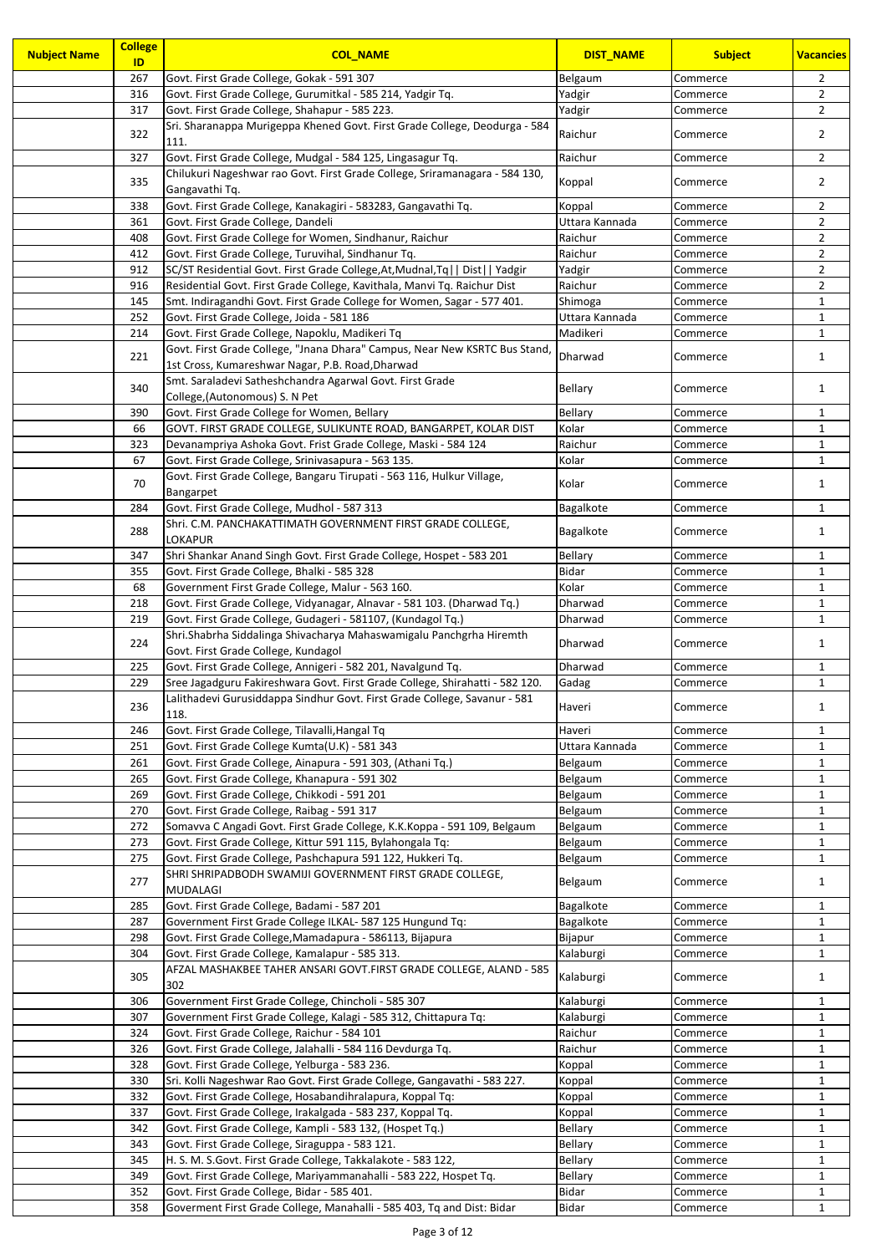| <b>Nubject Name</b> | <b>College</b><br>ID | <b>COL NAME</b>                                                                                                               | <b>DIST_NAME</b>     | <b>Subject</b>       | <b>Vacancies</b>             |
|---------------------|----------------------|-------------------------------------------------------------------------------------------------------------------------------|----------------------|----------------------|------------------------------|
|                     | 267                  | Govt. First Grade College, Gokak - 591 307                                                                                    | Belgaum              | Commerce             | $\overline{2}$               |
|                     | 316                  | Govt. First Grade College, Gurumitkal - 585 214, Yadgir Tq.                                                                   | Yadgir               | Commerce             | $\overline{2}$               |
|                     | 317                  | Govt. First Grade College, Shahapur - 585 223.                                                                                | Yadgir               | Commerce             | $\overline{2}$               |
|                     | 322                  | Sri. Sharanappa Murigeppa Khened Govt. First Grade College, Deodurga - 584<br>111.                                            | Raichur              | Commerce             | $\overline{2}$               |
|                     | 327                  | Govt. First Grade College, Mudgal - 584 125, Lingasagur Tq.                                                                   | Raichur              | Commerce             | $\overline{2}$               |
|                     | 335                  | Chilukuri Nageshwar rao Govt. First Grade College, Sriramanagara - 584 130,<br>Gangavathi Tq.                                 | Koppal               | Commerce             | $\overline{2}$               |
|                     | 338                  | Govt. First Grade College, Kanakagiri - 583283, Gangavathi Tq.                                                                | Koppal               | Commerce             | $\overline{2}$               |
|                     | 361                  | Govt. First Grade College, Dandeli                                                                                            | Uttara Kannada       | Commerce             | $\overline{2}$               |
|                     | 408                  | Govt. First Grade College for Women, Sindhanur, Raichur                                                                       | Raichur              | Commerce             | $\overline{2}$               |
|                     | 412                  | Govt. First Grade College, Turuvihal, Sindhanur Tq.                                                                           | Raichur              | Commerce             | $\overline{2}$               |
|                     | 912                  | SC/ST Residential Govt. First Grade College, At, Mudnal, Tq   Dist   Yadgir                                                   | Yadgir               | Commerce             | $\overline{2}$               |
|                     | 916                  | Residential Govt. First Grade College, Kavithala, Manvi Tq. Raichur Dist                                                      | Raichur              | Commerce             | $\overline{2}$               |
|                     | 145                  | Smt. Indiragandhi Govt. First Grade College for Women, Sagar - 577 401.                                                       | Shimoga              | Commerce             | $\mathbf{1}$                 |
|                     | 252                  | Govt. First Grade College, Joida - 581 186                                                                                    | Uttara Kannada       | Commerce             | $\mathbf{1}$                 |
|                     | 214                  | Govt. First Grade College, Napoklu, Madikeri Tq<br>Govt. First Grade College, "Jnana Dhara" Campus, Near New KSRTC Bus Stand, | Madikeri             | Commerce             | $\mathbf{1}$                 |
|                     | 221                  | 1st Cross, Kumareshwar Nagar, P.B. Road, Dharwad                                                                              | Dharwad              | Commerce             | $\mathbf{1}$                 |
|                     | 340                  | Smt. Saraladevi Satheshchandra Agarwal Govt. First Grade<br>College, (Autonomous) S. N Pet                                    | Bellary              | Commerce             | $\mathbf{1}$                 |
|                     | 390                  | Govt. First Grade College for Women, Bellary                                                                                  | Bellary              | Commerce             | $\mathbf{1}$                 |
|                     | 66                   | GOVT. FIRST GRADE COLLEGE, SULIKUNTE ROAD, BANGARPET, KOLAR DIST                                                              | Kolar                | Commerce             | $\mathbf{1}$                 |
|                     | 323                  | Devanampriya Ashoka Govt. Frist Grade College, Maski - 584 124                                                                | Raichur              | Commerce             | $\mathbf{1}$                 |
|                     | 67                   | Govt. First Grade College, Srinivasapura - 563 135.                                                                           | Kolar                | Commerce             | $\mathbf{1}$                 |
|                     | 70                   | Govt. First Grade College, Bangaru Tirupati - 563 116, Hulkur Village,<br>Bangarpet                                           | Kolar                | Commerce             | $\mathbf{1}$                 |
|                     | 284                  | Govt. First Grade College, Mudhol - 587 313                                                                                   | Bagalkote            | Commerce             | $\mathbf{1}$                 |
|                     | 288                  | Shri. C.M. PANCHAKATTIMATH GOVERNMENT FIRST GRADE COLLEGE,<br><b>LOKAPUR</b>                                                  | Bagalkote            | Commerce             | $\mathbf{1}$                 |
|                     | 347                  | Shri Shankar Anand Singh Govt. First Grade College, Hospet - 583 201                                                          | Bellary              | Commerce             | $\mathbf{1}$                 |
|                     | 355                  | Govt. First Grade College, Bhalki - 585 328                                                                                   | <b>Bidar</b>         | Commerce             | $\mathbf{1}$                 |
|                     | 68                   | Government First Grade College, Malur - 563 160.                                                                              | Kolar                | Commerce             | $\mathbf{1}$                 |
|                     | 218                  | Govt. First Grade College, Vidyanagar, Alnavar - 581 103. (Dharwad Tq.)                                                       | Dharwad              | Commerce             | $\mathbf{1}$                 |
|                     | 219                  | Govt. First Grade College, Gudageri - 581107, (Kundagol Tq.)                                                                  | Dharwad              | Commerce             | $\mathbf{1}$                 |
|                     | 224                  | Shri.Shabrha Siddalinga Shivacharya Mahaswamigalu Panchgrha Hiremth<br>Govt. First Grade College, Kundagol                    | Dharwad              | Commerce             | $\mathbf{1}$                 |
|                     | 225                  | Govt. First Grade College, Annigeri - 582 201, Navalgund Tq.                                                                  | Dharwad              | Commerce             | $\mathbf{1}$                 |
|                     | 229                  | Sree Jagadguru Fakireshwara Govt. First Grade College, Shirahatti - 582 120.                                                  | Gadag                | Commerce             | $\mathbf{1}$                 |
|                     | 236                  | Lalithadevi Gurusiddappa Sindhur Govt. First Grade College, Savanur - 581<br>118.                                             | Haveri               | Commerce             | 1                            |
|                     | 246                  | Govt. First Grade College, Tilavalli, Hangal Tq                                                                               | Haveri               | Commerce             | $\mathbf{1}$                 |
|                     | 251                  | Govt. First Grade College Kumta(U.K) - 581 343                                                                                | Uttara Kannada       | Commerce             | $\mathbf{1}$                 |
|                     | 261                  | Govt. First Grade College, Ainapura - 591 303, (Athani Tq.)                                                                   | Belgaum              | Commerce             | $\mathbf{1}$                 |
|                     | 265                  | Govt. First Grade College, Khanapura - 591 302                                                                                | Belgaum              | Commerce             | $\mathbf{1}$                 |
|                     | 269                  | Govt. First Grade College, Chikkodi - 591 201                                                                                 | Belgaum              | Commerce             | $\mathbf{1}$                 |
|                     | 270                  | Govt. First Grade College, Raibag - 591 317                                                                                   | Belgaum              | Commerce             | $\mathbf{1}$                 |
|                     | 272                  | Somavva C Angadi Govt. First Grade College, K.K.Koppa - 591 109, Belgaum                                                      | Belgaum              | Commerce             | $\mathbf{1}$                 |
|                     | 273<br>275           | Govt. First Grade College, Kittur 591 115, Bylahongala Tq:<br>Govt. First Grade College, Pashchapura 591 122, Hukkeri Tq.     | Belgaum              | Commerce             | $\mathbf{1}$<br>$\mathbf{1}$ |
|                     |                      | SHRI SHRIPADBODH SWAMIJI GOVERNMENT FIRST GRADE COLLEGE,                                                                      | Belgaum              | Commerce             |                              |
|                     | 277                  | <b>MUDALAGI</b>                                                                                                               | Belgaum              | Commerce             | 1                            |
|                     | 285                  | Govt. First Grade College, Badami - 587 201                                                                                   | Bagalkote            | Commerce             | 1                            |
|                     | 287                  | Government First Grade College ILKAL- 587 125 Hungund Tq:                                                                     | Bagalkote            | Commerce             | $\mathbf{1}$<br>$\mathbf{1}$ |
|                     | 298<br>304           | Govt. First Grade College, Mamadapura - 586113, Bijapura<br>Govt. First Grade College, Kamalapur - 585 313.                   | Bijapur<br>Kalaburgi | Commerce<br>Commerce | $\mathbf{1}$                 |
|                     | 305                  | AFZAL MASHAKBEE TAHER ANSARI GOVT.FIRST GRADE COLLEGE, ALAND - 585                                                            | Kalaburgi            | Commerce             | $\mathbf{1}$                 |
|                     | 306                  | 302<br>Government First Grade College, Chincholi - 585 307                                                                    | Kalaburgi            | Commerce             | $\mathbf{1}$                 |
|                     | 307                  | Government First Grade College, Kalagi - 585 312, Chittapura Tq:                                                              | Kalaburgi            | Commerce             | $\mathbf{1}$                 |
|                     | 324                  | Govt. First Grade College, Raichur - 584 101                                                                                  | Raichur              | Commerce             | $\mathbf{1}$                 |
|                     | 326                  | Govt. First Grade College, Jalahalli - 584 116 Devdurga Tq.                                                                   | Raichur              | Commerce             | $\mathbf{1}$                 |
|                     | 328                  | Govt. First Grade College, Yelburga - 583 236.                                                                                | Koppal               | Commerce             | $\mathbf{1}$                 |
|                     | 330                  | Sri. Kolli Nageshwar Rao Govt. First Grade College, Gangavathi - 583 227.                                                     | Koppal               | Commerce             | $\mathbf{1}$                 |
|                     | 332<br>337           | Govt. First Grade College, Hosabandihralapura, Koppal Tq:<br>Govt. First Grade College, Irakalgada - 583 237, Koppal Tq.      | Koppal<br>Koppal     | Commerce<br>Commerce | $\mathbf{1}$<br>$\mathbf{1}$ |
|                     | 342                  | Govt. First Grade College, Kampli - 583 132, (Hospet Tq.)                                                                     | Bellary              | Commerce             | $\mathbf{1}$                 |
|                     | 343                  | Govt. First Grade College, Siraguppa - 583 121.                                                                               | Bellary              | Commerce             | $\mathbf{1}$                 |
|                     | 345                  | H. S. M. S.Govt. First Grade College, Takkalakote - 583 122,                                                                  | Bellary              | Commerce             | $\mathbf{1}$                 |
|                     | 349                  | Govt. First Grade College, Mariyammanahalli - 583 222, Hospet Tq.                                                             | Bellary              | Commerce             | $\mathbf{1}$                 |
|                     | 352                  | Govt. First Grade College, Bidar - 585 401.                                                                                   | Bidar                | Commerce             | $\mathbf{1}$                 |
|                     | 358                  | Goverment First Grade College, Manahalli - 585 403, Tq and Dist: Bidar                                                        | Bidar                | Commerce             | $\mathbf{1}$                 |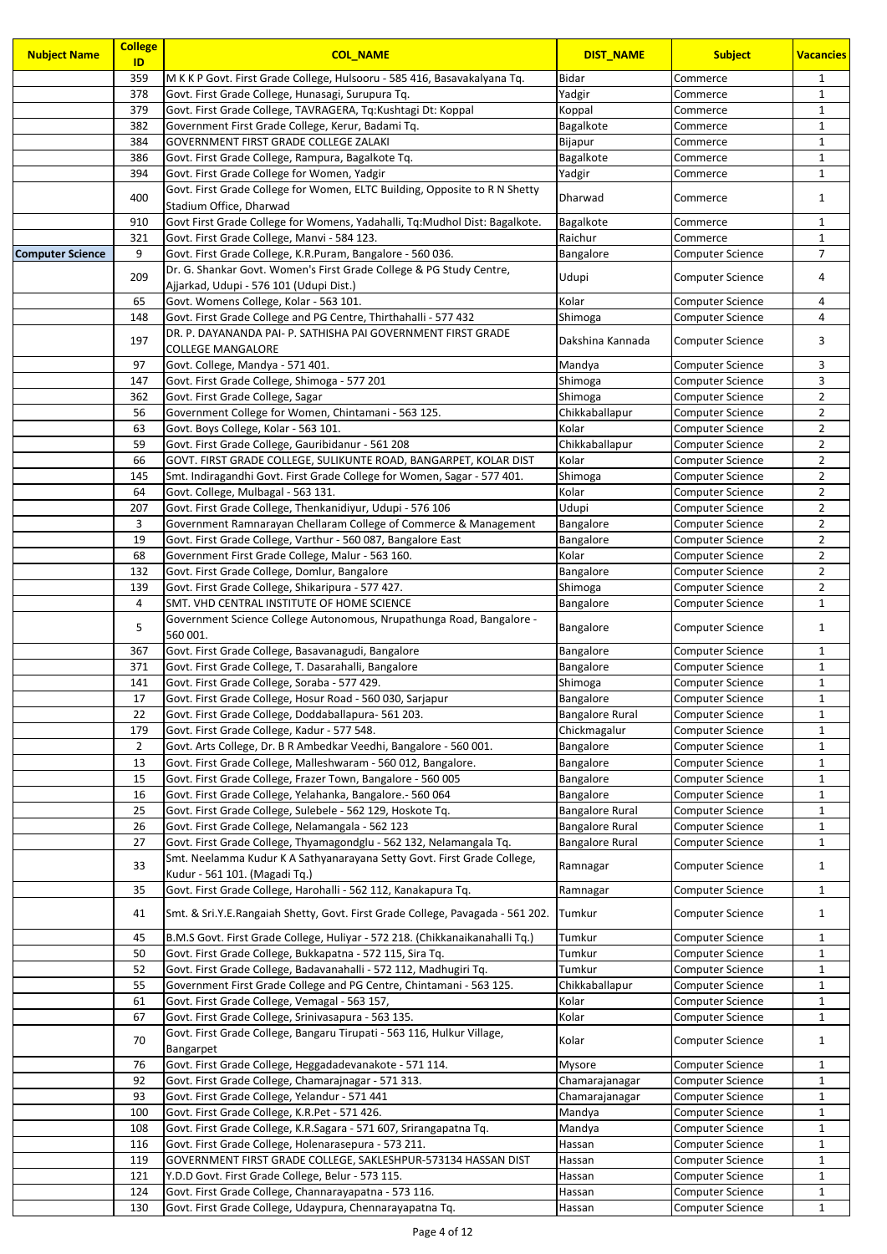| <b>Nubject Name</b>     | <b>College</b><br>ID | <b>COL NAME</b>                                                                                                | <b>DIST_NAME</b>       | <b>Subject</b>                                     | <b>Vacancies</b>                 |
|-------------------------|----------------------|----------------------------------------------------------------------------------------------------------------|------------------------|----------------------------------------------------|----------------------------------|
|                         | 359                  | M K K P Govt. First Grade College, Hulsooru - 585 416, Basavakalyana Tq.                                       | <b>Bidar</b>           | Commerce                                           | 1                                |
|                         | 378                  | Govt. First Grade College, Hunasagi, Surupura Tq.                                                              | Yadgir                 | Commerce                                           | $\mathbf{1}$                     |
|                         | 379                  | Govt. First Grade College, TAVRAGERA, Tq:Kushtagi Dt: Koppal                                                   | Koppal                 | Commerce                                           | $\mathbf{1}$                     |
|                         | 382                  | Government First Grade College, Kerur, Badami Tq.                                                              | Bagalkote              | Commerce                                           | $\mathbf{1}$                     |
|                         | 384                  | <b>GOVERNMENT FIRST GRADE COLLEGE ZALAKI</b>                                                                   | Bijapur                | Commerce                                           | $\mathbf{1}$                     |
|                         | 386                  | Govt. First Grade College, Rampura, Bagalkote Tq.                                                              | Bagalkote              | Commerce                                           | $\mathbf{1}$                     |
|                         | 394                  | Govt. First Grade College for Women, Yadgir                                                                    | Yadgir                 | Commerce                                           | $\mathbf{1}$                     |
|                         | 400                  | Govt. First Grade College for Women, ELTC Building, Opposite to R N Shetty<br>Stadium Office, Dharwad          | Dharwad                | Commerce                                           | $\mathbf{1}$                     |
|                         | 910                  | Govt First Grade College for Womens, Yadahalli, Tq:Mudhol Dist: Bagalkote.                                     | Bagalkote              | Commerce                                           | $\mathbf{1}$                     |
|                         | 321                  | Govt. First Grade College, Manvi - 584 123.                                                                    | Raichur                | Commerce                                           | $\mathbf{1}$                     |
| <b>Computer Science</b> | 9                    | Govt. First Grade College, K.R.Puram, Bangalore - 560 036.                                                     | Bangalore              | <b>Computer Science</b>                            | 7                                |
|                         | 209                  | Dr. G. Shankar Govt. Women's First Grade College & PG Study Centre,<br>Ajjarkad, Udupi - 576 101 (Udupi Dist.) | Udupi                  | Computer Science                                   | 4                                |
|                         | 65                   | Govt. Womens College, Kolar - 563 101.                                                                         | Kolar                  | Computer Science                                   | 4                                |
|                         | 148                  | Govt. First Grade College and PG Centre, Thirthahalli - 577 432                                                | Shimoga                | Computer Science                                   | 4                                |
|                         | 197                  | DR. P. DAYANANDA PAI- P. SATHISHA PAI GOVERNMENT FIRST GRADE                                                   | Dakshina Kannada       | Computer Science                                   | 3                                |
|                         |                      | <b>COLLEGE MANGALORE</b>                                                                                       |                        |                                                    |                                  |
|                         | 97                   | Govt. College, Mandya - 571 401.                                                                               | Mandya                 | <b>Computer Science</b>                            | 3                                |
|                         | 147                  | Govt. First Grade College, Shimoga - 577 201                                                                   | Shimoga                | <b>Computer Science</b>                            | 3                                |
|                         | 362                  | Govt. First Grade College, Sagar                                                                               | Shimoga                | <b>Computer Science</b>                            | $\overline{2}$                   |
|                         | 56                   | Government College for Women, Chintamani - 563 125.                                                            | Chikkaballapur         | Computer Science                                   | $\overline{2}$                   |
|                         | 63                   | Govt. Boys College, Kolar - 563 101.                                                                           | Kolar                  | <b>Computer Science</b>                            | $\overline{2}$                   |
|                         | 59                   | Govt. First Grade College, Gauribidanur - 561 208                                                              | Chikkaballapur         | <b>Computer Science</b>                            | $\overline{2}$                   |
|                         | 66                   | GOVT. FIRST GRADE COLLEGE, SULIKUNTE ROAD, BANGARPET, KOLAR DIST                                               | Kolar                  | <b>Computer Science</b>                            | $\overline{2}$                   |
|                         | 145<br>64            | Smt. Indiragandhi Govt. First Grade College for Women, Sagar - 577 401.<br>Govt. College, Mulbagal - 563 131.  | Shimoga<br>Kolar       | <b>Computer Science</b>                            | $\overline{2}$<br>$\overline{2}$ |
|                         | 207                  | Govt. First Grade College, Thenkanidiyur, Udupi - 576 106                                                      | Udupi                  | Computer Science<br><b>Computer Science</b>        | $\overline{2}$                   |
|                         | 3                    | Government Ramnarayan Chellaram College of Commerce & Management                                               | Bangalore              | <b>Computer Science</b>                            | $\overline{2}$                   |
|                         | 19                   | Govt. First Grade College, Varthur - 560 087, Bangalore East                                                   | Bangalore              | <b>Computer Science</b>                            | $\overline{2}$                   |
|                         | 68                   | Government First Grade College, Malur - 563 160.                                                               | Kolar                  | Computer Science                                   | $\overline{2}$                   |
|                         | 132                  | Govt. First Grade College, Domlur, Bangalore                                                                   | Bangalore              | Computer Science                                   | $\overline{2}$                   |
|                         | 139                  | Govt. First Grade College, Shikaripura - 577 427.                                                              | Shimoga                | <b>Computer Science</b>                            | $\overline{2}$                   |
|                         | 4                    | SMT. VHD CENTRAL INSTITUTE OF HOME SCIENCE                                                                     | Bangalore              | Computer Science                                   | $\mathbf{1}$                     |
|                         | 5                    | Government Science College Autonomous, Nrupathunga Road, Bangalore -                                           | Bangalore              | Computer Science                                   | $\mathbf{1}$                     |
|                         |                      | 560 001.                                                                                                       |                        |                                                    |                                  |
|                         | 367                  | Govt. First Grade College, Basavanagudi, Bangalore                                                             | Bangalore              | <b>Computer Science</b>                            | $\mathbf{1}$                     |
|                         | 371<br>141           | Govt. First Grade College, T. Dasarahalli, Bangalore<br>Govt. First Grade College, Soraba - 577 429.           | Bangalore              | <b>Computer Science</b>                            | $\mathbf{1}$<br>$\mathbf{1}$     |
|                         | 17                   | Govt. First Grade College, Hosur Road - 560 030, Sarjapur                                                      | Shimoga<br>Bangalore   | <b>Computer Science</b><br><b>Computer Science</b> | $\mathbf{1}$                     |
|                         | 22                   | Govt. First Grade College, Doddaballapura- 561 203.                                                            | <b>Bangalore Rural</b> | <b>Computer Science</b>                            | $\mathbf{1}$                     |
|                         | 179                  | Govt. First Grade College, Kadur - 577 548.                                                                    | Chickmagalur           | <b>Computer Science</b>                            | $\mathbf{1}$                     |
|                         | $\overline{2}$       | Govt. Arts College, Dr. B R Ambedkar Veedhi, Bangalore - 560 001.                                              | Bangalore              | <b>Computer Science</b>                            | $\mathbf{1}$                     |
|                         | 13                   | Govt. First Grade College, Malleshwaram - 560 012, Bangalore.                                                  | Bangalore              | <b>Computer Science</b>                            | $\mathbf{1}$                     |
|                         | 15                   | Govt. First Grade College, Frazer Town, Bangalore - 560 005                                                    | Bangalore              | Computer Science                                   | $\mathbf{1}$                     |
|                         | 16                   | Govt. First Grade College, Yelahanka, Bangalore.- 560 064                                                      | Bangalore              | <b>Computer Science</b>                            | $\mathbf{1}$                     |
|                         | 25                   | Govt. First Grade College, Sulebele - 562 129, Hoskote Tq.                                                     | <b>Bangalore Rural</b> | Computer Science                                   | $\mathbf{1}$                     |
|                         | 26                   | Govt. First Grade College, Nelamangala - 562 123                                                               | <b>Bangalore Rural</b> | Computer Science                                   | $\mathbf{1}$                     |
|                         | 27                   | Govt. First Grade College, Thyamagondglu - 562 132, Nelamangala Tq.                                            | <b>Bangalore Rural</b> | Computer Science                                   | $\mathbf{1}$                     |
|                         | 33                   | Smt. Neelamma Kudur K A Sathyanarayana Setty Govt. First Grade College,<br>Kudur - 561 101. (Magadi Tq.)       | Ramnagar               | <b>Computer Science</b>                            | $\mathbf{1}$                     |
|                         | 35                   | Govt. First Grade College, Harohalli - 562 112, Kanakapura Tg.                                                 | Ramnagar               | <b>Computer Science</b>                            | $\mathbf{1}$                     |
|                         | 41                   | Smt. & Sri.Y.E.Rangaiah Shetty, Govt. First Grade College, Pavagada - 561 202.                                 | Tumkur                 | Computer Science                                   | $\mathbf{1}$                     |
|                         | 45                   | B.M.S Govt. First Grade College, Huliyar - 572 218. (Chikkanaikanahalli Tq.)                                   | Tumkur                 | <b>Computer Science</b>                            | $\mathbf{1}$                     |
|                         | 50                   | Govt. First Grade College, Bukkapatna - 572 115, Sira Tq.                                                      | Tumkur                 | <b>Computer Science</b>                            | $\mathbf{1}$                     |
|                         | 52                   | Govt. First Grade College, Badavanahalli - 572 112, Madhugiri Tq.                                              | Tumkur                 | Computer Science                                   | $\mathbf{1}$                     |
|                         | 55                   | Government First Grade College and PG Centre, Chintamani - 563 125.                                            | Chikkaballapur         | <b>Computer Science</b>                            | $\mathbf{1}$                     |
|                         | 61                   | Govt. First Grade College, Vemagal - 563 157,                                                                  | Kolar                  | <b>Computer Science</b>                            | $\mathbf{1}$                     |
|                         | 67                   | Govt. First Grade College, Srinivasapura - 563 135.                                                            | Kolar                  | <b>Computer Science</b>                            | $\mathbf{1}$                     |
|                         | 70                   | Govt. First Grade College, Bangaru Tirupati - 563 116, Hulkur Village,                                         | Kolar                  | <b>Computer Science</b>                            | $\mathbf{1}$                     |
|                         | 76                   | Bangarpet<br>Govt. First Grade College, Heggadadevanakote - 571 114.                                           | Mysore                 | <b>Computer Science</b>                            | $\mathbf{1}$                     |
|                         | 92                   | Govt. First Grade College, Chamarajnagar - 571 313.                                                            | Chamarajanagar         | <b>Computer Science</b>                            | $\mathbf{1}$                     |
|                         | 93                   | Govt. First Grade College, Yelandur - 571 441                                                                  | Chamarajanagar         | <b>Computer Science</b>                            | $\mathbf{1}$                     |
|                         | 100                  | Govt. First Grade College, K.R.Pet - 571 426.                                                                  | Mandya                 | <b>Computer Science</b>                            | $\mathbf{1}$                     |
|                         | 108                  | Govt. First Grade College, K.R.Sagara - 571 607, Srirangapatna Tq.                                             | Mandya                 | <b>Computer Science</b>                            | $\mathbf{1}$                     |
|                         | 116                  | Govt. First Grade College, Holenarasepura - 573 211.                                                           | Hassan                 | Computer Science                                   | $\mathbf{1}$                     |
|                         | 119                  | GOVERNMENT FIRST GRADE COLLEGE, SAKLESHPUR-573134 HASSAN DIST                                                  | Hassan                 | <b>Computer Science</b>                            | $\mathbf{1}$                     |
|                         | 121                  | Y.D.D Govt. First Grade College, Belur - 573 115.                                                              | Hassan                 | <b>Computer Science</b>                            | $\mathbf{1}$                     |
|                         | 124                  | Govt. First Grade College, Channarayapatna - 573 116.                                                          | Hassan                 | <b>Computer Science</b>                            | $\mathbf{1}$                     |
|                         | 130                  | Govt. First Grade College, Udaypura, Chennarayapatna Tq.                                                       | Hassan                 | Computer Science                                   | $\mathbf{1}$                     |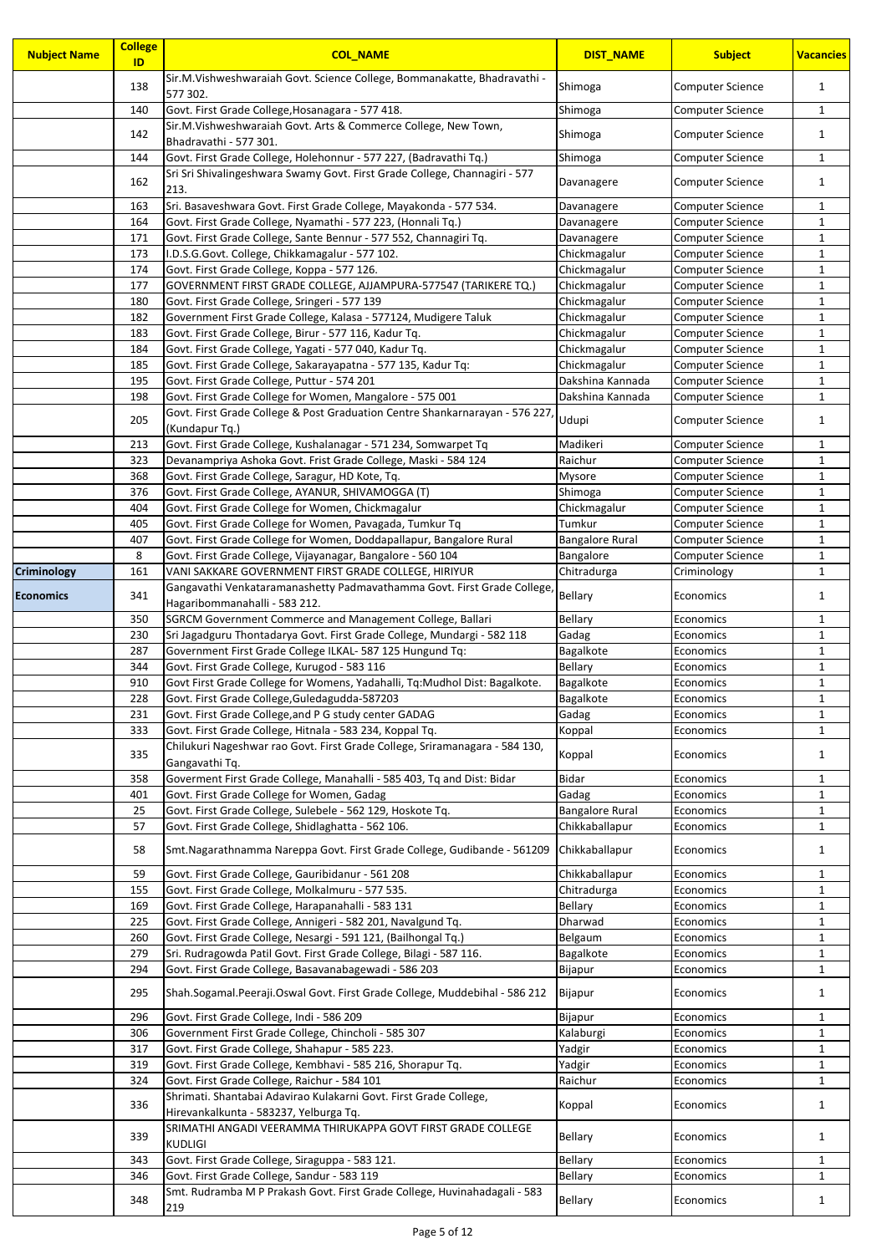| <b>Nubject Name</b>      | <b>College</b><br>ID | <b>COL NAME</b>                                                                                                                     | <b>DIST_NAME</b>             | <b>Subject</b>                                     | <b>Vacancies</b>             |
|--------------------------|----------------------|-------------------------------------------------------------------------------------------------------------------------------------|------------------------------|----------------------------------------------------|------------------------------|
|                          | 138                  | Sir.M.Vishweshwaraiah Govt. Science College, Bommanakatte, Bhadravathi -<br>577 302.                                                | Shimoga                      | <b>Computer Science</b>                            | $\mathbf{1}$                 |
|                          | 140                  | Govt. First Grade College, Hosanagara - 577 418.                                                                                    | Shimoga                      | <b>Computer Science</b>                            | $\mathbf{1}$                 |
|                          | 142                  | Sir.M.Vishweshwaraiah Govt. Arts & Commerce College, New Town,<br>Bhadravathi - 577 301.                                            | Shimoga                      | <b>Computer Science</b>                            | $\mathbf{1}$                 |
|                          | 144                  | Govt. First Grade College, Holehonnur - 577 227, (Badravathi Tq.)                                                                   | Shimoga                      | <b>Computer Science</b>                            | $\mathbf{1}$                 |
|                          | 162                  | Sri Sri Shivalingeshwara Swamy Govt. First Grade College, Channagiri - 577<br>213.                                                  | Davanagere                   | <b>Computer Science</b>                            | $\mathbf{1}$                 |
|                          | 163                  | Sri. Basaveshwara Govt. First Grade College, Mayakonda - 577 534.                                                                   | Davanagere                   | <b>Computer Science</b>                            | $\mathbf{1}$                 |
|                          | 164                  | Govt. First Grade College, Nyamathi - 577 223, (Honnali Tq.)                                                                        | Davanagere                   | <b>Computer Science</b>                            | $\mathbf{1}$                 |
|                          | 171                  | Govt. First Grade College, Sante Bennur - 577 552, Channagiri Tq.                                                                   | Davanagere                   | <b>Computer Science</b>                            | $\mathbf{1}$                 |
|                          | 173                  | I.D.S.G.Govt. College, Chikkamagalur - 577 102.                                                                                     | Chickmagalur                 | <b>Computer Science</b>                            | $\mathbf 1$                  |
|                          | 174                  | Govt. First Grade College, Koppa - 577 126.                                                                                         | Chickmagalur                 | <b>Computer Science</b>                            | $\mathbf{1}$                 |
|                          | 177                  | GOVERNMENT FIRST GRADE COLLEGE, AJJAMPURA-577547 (TARIKERE TQ.)                                                                     | Chickmagalur                 | <b>Computer Science</b>                            | $\mathbf{1}$                 |
|                          | 180                  | Govt. First Grade College, Sringeri - 577 139                                                                                       | Chickmagalur                 | <b>Computer Science</b>                            | $\mathbf 1$                  |
|                          | 182<br>183           | Government First Grade College, Kalasa - 577124, Mudigere Taluk<br>Govt. First Grade College, Birur - 577 116, Kadur Tq.            | Chickmagalur<br>Chickmagalur | <b>Computer Science</b><br><b>Computer Science</b> | $\mathbf{1}$<br>$\mathbf{1}$ |
|                          | 184                  | Govt. First Grade College, Yagati - 577 040, Kadur Tq.                                                                              | Chickmagalur                 | <b>Computer Science</b>                            | $\mathbf{1}$                 |
|                          | 185                  | Govt. First Grade College, Sakarayapatna - 577 135, Kadur Tq:                                                                       | Chickmagalur                 | <b>Computer Science</b>                            | $\mathbf{1}$                 |
|                          | 195                  | Govt. First Grade College, Puttur - 574 201                                                                                         | Dakshina Kannada             | <b>Computer Science</b>                            | $\mathbf{1}$                 |
|                          | 198                  | Govt. First Grade College for Women, Mangalore - 575 001                                                                            | Dakshina Kannada             | <b>Computer Science</b>                            | $\mathbf{1}$                 |
|                          | 205                  | Govt. First Grade College & Post Graduation Centre Shankarnarayan - 576 227,<br>(Kundapur Tq.)                                      | Udupi                        | <b>Computer Science</b>                            | $\mathbf{1}$                 |
|                          | 213                  | Govt. First Grade College, Kushalanagar - 571 234, Somwarpet Tq                                                                     | Madikeri                     | <b>Computer Science</b>                            | $\mathbf{1}$                 |
|                          | 323                  | Devanampriya Ashoka Govt. Frist Grade College, Maski - 584 124                                                                      | Raichur                      | <b>Computer Science</b>                            | $\mathbf{1}$                 |
|                          | 368                  | Govt. First Grade College, Saragur, HD Kote, Tq.                                                                                    | Mysore                       | <b>Computer Science</b>                            | $\mathbf{1}$                 |
|                          | 376                  | Govt. First Grade College, AYANUR, SHIVAMOGGA (T)                                                                                   | Shimoga                      | Computer Science                                   | $\mathbf{1}$                 |
|                          | 404                  | Govt. First Grade College for Women, Chickmagalur                                                                                   | Chickmagalur                 | <b>Computer Science</b>                            | $\mathbf{1}$                 |
|                          | 405                  | Govt. First Grade College for Women, Pavagada, Tumkur Tq                                                                            | Tumkur                       | <b>Computer Science</b>                            | $\mathbf 1$                  |
|                          | 407                  | Govt. First Grade College for Women, Doddapallapur, Bangalore Rural                                                                 | <b>Bangalore Rural</b>       | <b>Computer Science</b>                            | $\mathbf{1}$                 |
|                          | 8                    | Govt. First Grade College, Vijayanagar, Bangalore - 560 104                                                                         | Bangalore                    | <b>Computer Science</b>                            | $\mathbf{1}$<br>$\mathbf 1$  |
| Criminology<br>Economics | 161<br>341           | VANI SAKKARE GOVERNMENT FIRST GRADE COLLEGE, HIRIYUR<br>Gangavathi Venkataramanashetty Padmavathamma Govt. First Grade College,     | Chitradurga<br>Bellary       | Criminology<br>Economics                           | 1                            |
|                          | 350                  | Hagaribommanahalli - 583 212.<br>SGRCM Government Commerce and Management College, Ballari                                          | Bellary                      | Economics                                          | $\mathbf{1}$                 |
|                          | 230                  | Sri Jagadguru Thontadarya Govt. First Grade College, Mundargi - 582 118                                                             | Gadag                        | Economics                                          | $\mathbf 1$                  |
|                          | 287                  | Government First Grade College ILKAL- 587 125 Hungund Tq:                                                                           | Bagalkote                    | Economics                                          | $\mathbf 1$                  |
|                          | 344                  | Govt. First Grade College, Kurugod - 583 116                                                                                        | Bellary                      | Economics                                          | $\mathbf 1$                  |
|                          | 910<br>228           | Govt First Grade College for Womens, Yadahalli, Tq:Mudhol Dist: Bagalkote.<br>Govt. First Grade College, Guledagudda-587203         | Bagalkote                    | Economics                                          | $\mathbf{1}$<br>$\mathbf{1}$ |
|                          | 231                  | Govt. First Grade College, and P G study center GADAG                                                                               | <b>Bagalkote</b><br>Gadag    | Economics<br>Economics                             | $\mathbf{1}$                 |
|                          | 333                  | Govt. First Grade College, Hitnala - 583 234, Koppal Tq.                                                                            | Koppal                       | Economics                                          | $\mathbf{1}$                 |
|                          | 335                  | Chilukuri Nageshwar rao Govt. First Grade College, Sriramanagara - 584 130,<br>Gangavathi Tq.                                       | Koppal                       | Economics                                          | $\mathbf{1}$                 |
|                          | 358                  | Goverment First Grade College, Manahalli - 585 403, Tq and Dist: Bidar                                                              | Bidar                        | Economics                                          | $\mathbf{1}$                 |
|                          | 401                  | Govt. First Grade College for Women, Gadag                                                                                          | Gadag                        | Economics                                          | $\mathbf{1}$                 |
|                          | 25                   | Govt. First Grade College, Sulebele - 562 129, Hoskote Tg.                                                                          | <b>Bangalore Rural</b>       | Economics                                          | $\mathbf{1}$                 |
|                          | 57                   | Govt. First Grade College, Shidlaghatta - 562 106.                                                                                  | Chikkaballapur               | Economics                                          | $\mathbf{1}$                 |
|                          | 58                   | Smt.Nagarathnamma Nareppa Govt. First Grade College, Gudibande - 561209                                                             | Chikkaballapur               | Economics                                          | $\mathbf{1}$                 |
|                          | 59                   | Govt. First Grade College, Gauribidanur - 561 208                                                                                   | Chikkaballapur               | Economics                                          | $\mathbf{1}$                 |
|                          | 155                  | Govt. First Grade College, Molkalmuru - 577 535.                                                                                    | Chitradurga                  | Economics                                          | $\mathbf{1}$                 |
|                          | 169                  | Govt. First Grade College, Harapanahalli - 583 131                                                                                  | Bellary                      | Economics                                          | $\mathbf{1}$                 |
|                          | 225                  | Govt. First Grade College, Annigeri - 582 201, Navalgund Tq.                                                                        | Dharwad                      | Economics                                          | $\mathbf{1}$                 |
|                          | 260                  | Govt. First Grade College, Nesargi - 591 121, (Bailhongal Tq.)                                                                      | Belgaum                      | Economics                                          | $\mathbf{1}$                 |
|                          | 279                  | Sri. Rudragowda Patil Govt. First Grade College, Bilagi - 587 116.                                                                  | Bagalkote                    | Economics                                          | $\mathbf{1}$                 |
|                          | 294<br>295           | Govt. First Grade College, Basavanabagewadi - 586 203<br>Shah.Sogamal.Peeraji.Oswal Govt. First Grade College, Muddebihal - 586 212 | Bijapur<br><b>Bijapur</b>    | Economics<br>Economics                             | $\mathbf{1}$<br>$\mathbf{1}$ |
|                          | 296                  | Govt. First Grade College, Indi - 586 209                                                                                           | <b>Bijapur</b>               | Economics                                          | $\mathbf{1}$                 |
|                          | 306                  | Government First Grade College, Chincholi - 585 307                                                                                 | Kalaburgi                    | Economics                                          | $\mathbf{1}$                 |
|                          | 317                  | Govt. First Grade College, Shahapur - 585 223.                                                                                      | Yadgir                       | Economics                                          | $\mathbf{1}$                 |
|                          | 319                  | Govt. First Grade College, Kembhavi - 585 216, Shorapur Tq.                                                                         | Yadgir                       | Economics                                          | $\mathbf{1}$                 |
|                          | 324                  | Govt. First Grade College, Raichur - 584 101                                                                                        | Raichur                      | Economics                                          | $\mathbf 1$                  |
|                          | 336                  | Shrimati. Shantabai Adavirao Kulakarni Govt. First Grade College,<br>Hirevankalkunta - 583237, Yelburga Tq.                         | Koppal                       | Economics                                          | $\mathbf{1}$                 |
|                          | 339                  | SRIMATHI ANGADI VEERAMMA THIRUKAPPA GOVT FIRST GRADE COLLEGE<br><b>KUDLIGI</b>                                                      | Bellary                      | Economics                                          | 1                            |
|                          | 343                  | Govt. First Grade College, Siraguppa - 583 121.                                                                                     | <b>Bellary</b>               | Economics                                          | $\mathbf{1}$                 |
|                          | 346                  | Govt. First Grade College, Sandur - 583 119                                                                                         | <b>Bellary</b>               | Economics                                          | $\mathbf{1}$                 |
|                          | 348                  | Smt. Rudramba M P Prakash Govt. First Grade College, Huvinahadagali - 583<br>219                                                    | Bellary                      | Economics                                          | $\mathbf{1}$                 |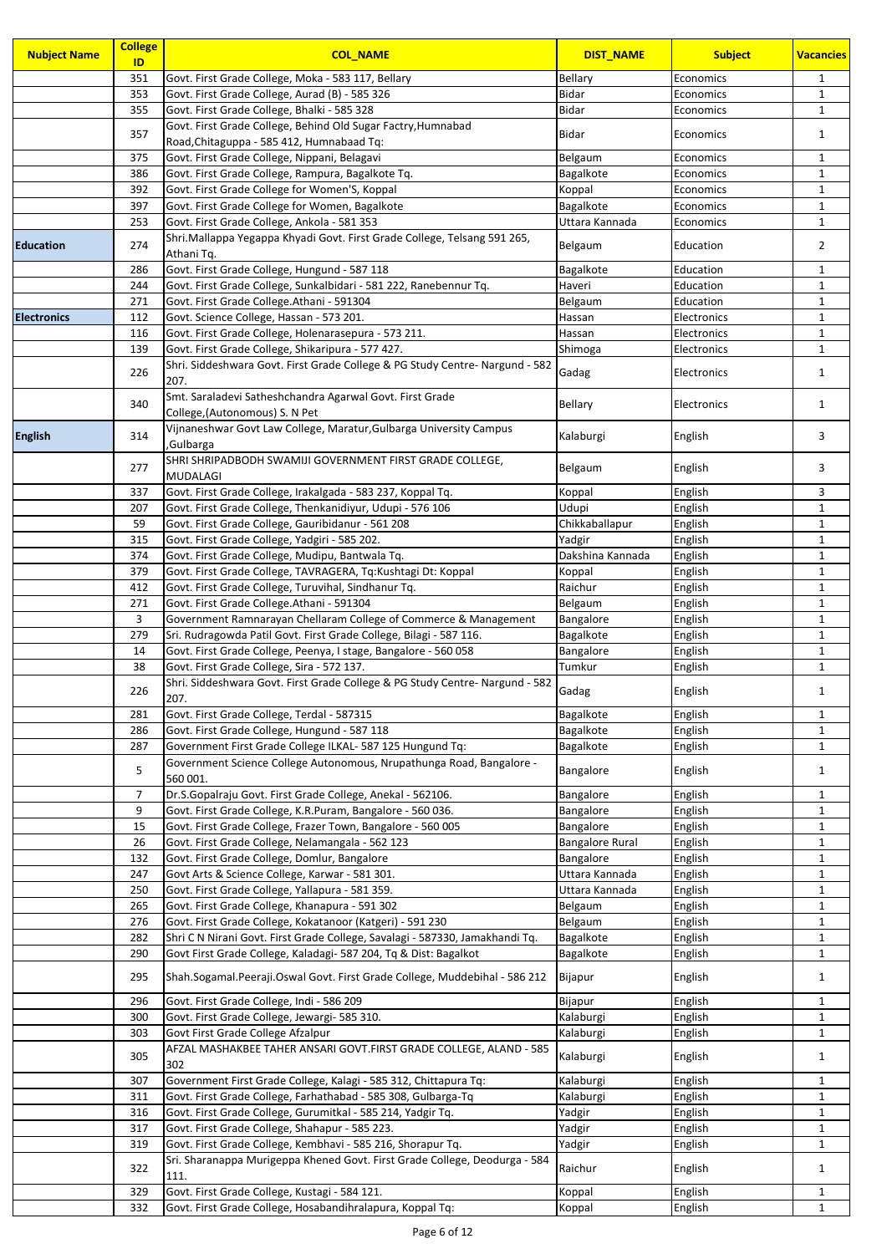| <b>Nubject Name</b> | <b>College</b><br>ID | <b>COL NAME</b>                                                                                                 | <b>DIST_NAME</b>                    | <b>Subject</b>         | <b>Vacancies</b>             |
|---------------------|----------------------|-----------------------------------------------------------------------------------------------------------------|-------------------------------------|------------------------|------------------------------|
|                     | 351                  | Govt. First Grade College, Moka - 583 117, Bellary                                                              | <b>Bellary</b>                      | Economics              | $\mathbf{1}$                 |
|                     | 353                  | Govt. First Grade College, Aurad (B) - 585 326                                                                  | <b>Bidar</b>                        | Economics              | $\mathbf{1}$                 |
|                     | 355                  | Govt. First Grade College, Bhalki - 585 328                                                                     | <b>Bidar</b>                        | Economics              | $\mathbf{1}$                 |
|                     | 357                  | Govt. First Grade College, Behind Old Sugar Factry, Humnabad<br>Road, Chitaguppa - 585 412, Humnabaad Tq:       | <b>Bidar</b>                        | Economics              | $\mathbf{1}$                 |
|                     | 375                  | Govt. First Grade College, Nippani, Belagavi                                                                    | Belgaum                             | Economics              | $\mathbf{1}$                 |
|                     | 386                  | Govt. First Grade College, Rampura, Bagalkote Tq.                                                               | Bagalkote                           | Economics              | $\mathbf{1}$                 |
|                     | 392                  | Govt. First Grade College for Women'S, Koppal                                                                   | Koppal                              | Economics              | $\mathbf{1}$                 |
|                     | 397                  | Govt. First Grade College for Women, Bagalkote                                                                  | Bagalkote                           | Economics              | $\mathbf{1}$                 |
|                     | 253                  | Govt. First Grade College, Ankola - 581 353                                                                     | Uttara Kannada                      | Economics              | $\mathbf{1}$                 |
| <b>Education</b>    | 274                  | Shri.Mallappa Yegappa Khyadi Govt. First Grade College, Telsang 591 265,                                        | Belgaum                             | Education              | $\overline{2}$               |
|                     |                      | Athani Tq.                                                                                                      |                                     |                        |                              |
|                     | 286<br>244           | Govt. First Grade College, Hungund - 587 118                                                                    | Bagalkote<br>Haveri                 | Education              | $\mathbf{1}$<br>$\mathbf{1}$ |
|                     | 271                  | Govt. First Grade College, Sunkalbidari - 581 222, Ranebennur Tq.<br>Govt. First Grade College. Athani - 591304 | Belgaum                             | Education<br>Education | $\mathbf{1}$                 |
| <b>Electronics</b>  | 112                  | Govt. Science College, Hassan - 573 201.                                                                        | Hassan                              | Electronics            | $\mathbf{1}$                 |
|                     | 116                  | Govt. First Grade College, Holenarasepura - 573 211.                                                            | Hassan                              | Electronics            | $\mathbf{1}$                 |
|                     | 139                  | Govt. First Grade College, Shikaripura - 577 427.                                                               | Shimoga                             | Electronics            | $\mathbf{1}$                 |
|                     | 226                  | Shri. Siddeshwara Govt. First Grade College & PG Study Centre- Nargund - 582                                    | Gadag                               | Electronics            | $\mathbf{1}$                 |
|                     |                      | 207.                                                                                                            |                                     |                        |                              |
|                     | 340                  | Smt. Saraladevi Satheshchandra Agarwal Govt. First Grade                                                        | Bellary                             | Electronics            | $\mathbf{1}$                 |
|                     |                      | College, (Autonomous) S. N Pet                                                                                  |                                     |                        |                              |
| <b>English</b>      | 314                  | Vijnaneshwar Govt Law College, Maratur, Gulbarga University Campus                                              | Kalaburgi                           | English                | 3                            |
|                     |                      | Gulbarga,                                                                                                       |                                     |                        |                              |
|                     | 277                  | SHRI SHRIPADBODH SWAMIJI GOVERNMENT FIRST GRADE COLLEGE,<br><b>MUDALAGI</b>                                     | Belgaum                             | English                | 3                            |
|                     | 337                  | Govt. First Grade College, Irakalgada - 583 237, Koppal Tq.                                                     | Koppal                              | English                | 3                            |
|                     | 207                  | Govt. First Grade College, Thenkanidiyur, Udupi - 576 106                                                       | Udupi                               | English                | $\mathbf{1}$                 |
|                     | 59                   | Govt. First Grade College, Gauribidanur - 561 208                                                               | Chikkaballapur                      | English                | $\mathbf{1}$                 |
|                     | 315                  | Govt. First Grade College, Yadgiri - 585 202.                                                                   | Yadgir                              | English                | $\mathbf{1}$                 |
|                     | 374                  | Govt. First Grade College, Mudipu, Bantwala Tq.                                                                 | Dakshina Kannada                    | English                | $\mathbf{1}$                 |
|                     | 379                  | Govt. First Grade College, TAVRAGERA, Tq:Kushtagi Dt: Koppal                                                    | Koppal                              | English                | $\mathbf{1}$                 |
|                     | 412                  | Govt. First Grade College, Turuvihal, Sindhanur Tq.                                                             | Raichur                             | English                | $\mathbf{1}$                 |
|                     | 271                  | Govt. First Grade College.Athani - 591304                                                                       | Belgaum                             | English                | $\mathbf{1}$                 |
|                     | 3                    | Government Ramnarayan Chellaram College of Commerce & Management                                                | Bangalore                           | English                | $\mathbf{1}$                 |
|                     | 279                  | Sri. Rudragowda Patil Govt. First Grade College, Bilagi - 587 116.                                              | Bagalkote                           | English                | $\mathbf{1}$                 |
|                     | 14<br>38             | Govt. First Grade College, Peenya, I stage, Bangalore - 560 058<br>Govt. First Grade College, Sira - 572 137.   | Bangalore<br>Tumkur                 | English                | $\mathbf{1}$<br>$\mathbf{1}$ |
|                     |                      | Shri. Siddeshwara Govt. First Grade College & PG Study Centre- Nargund - 582                                    |                                     | English                |                              |
|                     | 226                  | 207.                                                                                                            | Gadag                               | English                | $\mathbf{1}$                 |
|                     | 281                  | Govt. First Grade College, Terdal - 587315                                                                      | Bagalkote                           | English                | $\mathbf{1}$                 |
|                     | 286                  | Govt. First Grade College, Hungund - 587 118                                                                    | Bagalkote                           | English                | $\mathbf{1}$                 |
|                     | 287                  | Government First Grade College ILKAL- 587 125 Hungund Tq:                                                       | Bagalkote                           | English                | $\mathbf{1}$                 |
|                     | 5                    | Government Science College Autonomous, Nrupathunga Road, Bangalore -                                            | Bangalore                           | English                | $\mathbf{1}$                 |
|                     |                      | 560 001.                                                                                                        |                                     |                        |                              |
|                     | $\overline{7}$       | Dr.S.Gopalraju Govt. First Grade College, Anekal - 562106.                                                      | Bangalore                           | English                | $\mathbf{1}$                 |
|                     | 9                    | Govt. First Grade College, K.R.Puram, Bangalore - 560 036.                                                      | Bangalore                           | English                | $\mathbf{1}$                 |
|                     | 15                   | Govt. First Grade College, Frazer Town, Bangalore - 560 005                                                     | Bangalore                           | English                | $\mathbf{1}$                 |
|                     | 26<br>132            | Govt. First Grade College, Nelamangala - 562 123<br>Govt. First Grade College, Domlur, Bangalore                | <b>Bangalore Rural</b><br>Bangalore | English<br>English     | $\mathbf{1}$<br>$\mathbf{1}$ |
|                     | 247                  | Govt Arts & Science College, Karwar - 581 301.                                                                  | Uttara Kannada                      | English                | $\mathbf{1}$                 |
|                     | 250                  | Govt. First Grade College, Yallapura - 581 359.                                                                 | Uttara Kannada                      | English                | $\mathbf{1}$                 |
|                     | 265                  | Govt. First Grade College, Khanapura - 591 302                                                                  | Belgaum                             | English                | $\mathbf{1}$                 |
|                     | 276                  | Govt. First Grade College, Kokatanoor (Katgeri) - 591 230                                                       | Belgaum                             | English                | $\mathbf{1}$                 |
|                     | 282                  | Shri C N Nirani Govt. First Grade College, Savalagi - 587330, Jamakhandi Tq.                                    | Bagalkote                           | English                | $\mathbf{1}$                 |
|                     | 290                  | Govt First Grade College, Kaladagi- 587 204, Tq & Dist: Bagalkot                                                | Bagalkote                           | English                | $\mathbf{1}$                 |
|                     | 295                  | Shah.Sogamal.Peeraji.Oswal Govt. First Grade College, Muddebihal - 586 212                                      | Bijapur                             | English                | $\mathbf{1}$                 |
|                     | 296                  | Govt. First Grade College, Indi - 586 209                                                                       | Bijapur                             | English                | $\mathbf{1}$                 |
|                     | 300                  | Govt. First Grade College, Jewargi- 585 310.                                                                    | Kalaburgi                           | English                | $\mathbf{1}$                 |
|                     | 303                  | Govt First Grade College Afzalpur                                                                               | Kalaburgi                           | English                | $\mathbf{1}$                 |
|                     | 305                  | AFZAL MASHAKBEE TAHER ANSARI GOVT.FIRST GRADE COLLEGE, ALAND - 585<br>302                                       | Kalaburgi                           | English                | $\mathbf{1}$                 |
|                     | 307                  | Government First Grade College, Kalagi - 585 312, Chittapura Tq:                                                | Kalaburgi                           | English                | $\mathbf{1}$                 |
|                     | 311                  | Govt. First Grade College, Farhathabad - 585 308, Gulbarga-Tq                                                   | Kalaburgi                           | English                | $\mathbf{1}$                 |
|                     | 316                  | Govt. First Grade College, Gurumitkal - 585 214, Yadgir Tq.                                                     | Yadgir                              | English                | $\mathbf{1}$                 |
|                     | 317                  | Govt. First Grade College, Shahapur - 585 223.                                                                  | Yadgir                              | English                | $\mathbf{1}$                 |
|                     | 319                  | Govt. First Grade College, Kembhavi - 585 216, Shorapur Tq.                                                     | Yadgir                              | English                | $\mathbf{1}$                 |
|                     | 322                  | Sri. Sharanappa Murigeppa Khened Govt. First Grade College, Deodurga - 584<br>111.                              | Raichur                             | English                | $\mathbf{1}$                 |
|                     | 329                  | Govt. First Grade College, Kustagi - 584 121.                                                                   | Koppal                              | English                | $\mathbf{1}$                 |
|                     | 332                  | Govt. First Grade College, Hosabandihralapura, Koppal Tq:                                                       | Koppal                              | English                | $\mathbf{1}$                 |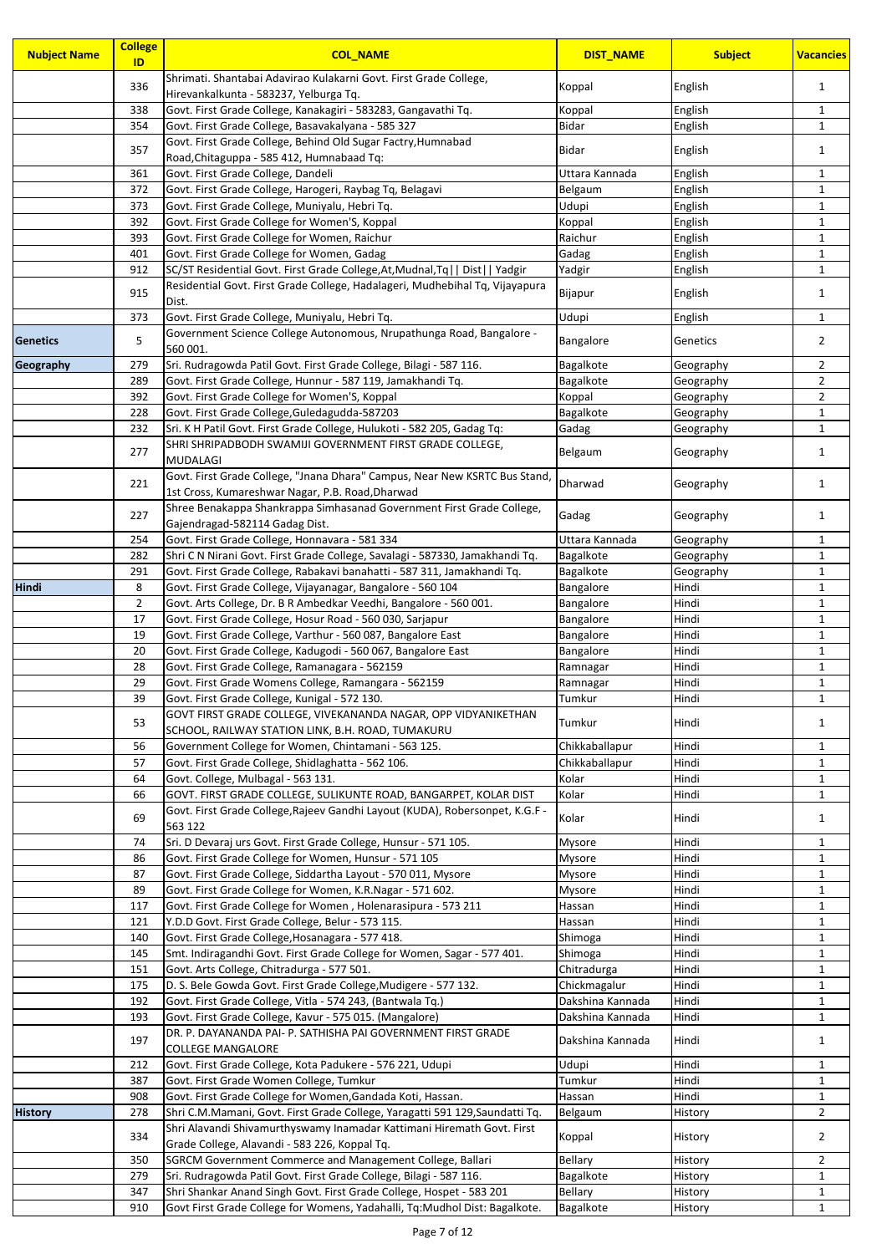| <b>Nubject Name</b> | <b>College</b><br>ID | <b>COL NAME</b>                                                                                                                                  | <b>DIST_NAME</b>                     | <b>Subject</b>         | <b>Vacancies</b>             |
|---------------------|----------------------|--------------------------------------------------------------------------------------------------------------------------------------------------|--------------------------------------|------------------------|------------------------------|
|                     | 336                  | Shrimati. Shantabai Adavirao Kulakarni Govt. First Grade College,<br>Hirevankalkunta - 583237, Yelburga Tq.                                      | Koppal                               | English                | $\mathbf{1}$                 |
|                     | 338                  | Govt. First Grade College, Kanakagiri - 583283, Gangavathi Tq.                                                                                   | Koppal                               | English                | $\mathbf{1}$                 |
|                     | 354                  | Govt. First Grade College, Basavakalyana - 585 327                                                                                               | Bidar                                | English                | $\mathbf{1}$                 |
|                     | 357                  | Govt. First Grade College, Behind Old Sugar Factry, Humnabad<br>Road, Chitaguppa - 585 412, Humnabaad Tq:                                        | Bidar                                | English                | $\mathbf{1}$                 |
|                     | 361                  | Govt. First Grade College, Dandeli                                                                                                               | Uttara Kannada                       | English                | $\mathbf{1}$                 |
|                     | 372                  | Govt. First Grade College, Harogeri, Raybag Tq, Belagavi                                                                                         | Belgaum                              | English                | $\mathbf{1}$                 |
|                     | 373                  | Govt. First Grade College, Muniyalu, Hebri Tq.                                                                                                   | Udupi                                | English                | $\mathbf{1}$                 |
|                     | 392                  | Govt. First Grade College for Women'S, Koppal                                                                                                    | Koppal                               | English                | 1                            |
|                     | 393<br>401           | Govt. First Grade College for Women, Raichur<br>Govt. First Grade College for Women, Gadag                                                       | Raichur<br>Gadag                     | English<br>English     | $\mathbf{1}$<br>$\mathbf{1}$ |
|                     | 912                  | SC/ST Residential Govt. First Grade College, At, Mudnal, Tq    Dist   Yadgir                                                                     | Yadgir                               | English                | $\mathbf{1}$                 |
|                     |                      | Residential Govt. First Grade College, Hadalageri, Mudhebihal Tq, Vijayapura                                                                     |                                      |                        |                              |
|                     | 915                  | Dist.                                                                                                                                            | Bijapur                              | English                | $\mathbf{1}$                 |
|                     | 373                  | Govt. First Grade College, Muniyalu, Hebri Tq.<br>Government Science College Autonomous, Nrupathunga Road, Bangalore -                           | Udupi                                | English                | $\mathbf{1}$                 |
| <b>Genetics</b>     | 5                    | 560 001.                                                                                                                                         | <b>Bangalore</b>                     | Genetics               | $\overline{2}$               |
| Geography           | 279                  | Sri. Rudragowda Patil Govt. First Grade College, Bilagi - 587 116.                                                                               | Bagalkote                            | Geography              | $\overline{2}$               |
|                     | 289                  | Govt. First Grade College, Hunnur - 587 119, Jamakhandi Tq.                                                                                      | Bagalkote                            | Geography              | $\overline{2}$               |
|                     | 392                  | Govt. First Grade College for Women'S, Koppal<br>Govt. First Grade College, Guledagudda-587203                                                   | Koppal                               | Geography              | $\overline{2}$               |
|                     | 228<br>232           | Sri. K H Patil Govt. First Grade College, Hulukoti - 582 205, Gadag Tq:                                                                          | Bagalkote<br>Gadag                   | Geography<br>Geography | $\mathbf{1}$<br>$\mathbf 1$  |
|                     | 277                  | SHRI SHRIPADBODH SWAMIJI GOVERNMENT FIRST GRADE COLLEGE,                                                                                         | Belgaum                              | Geography              | $\mathbf{1}$                 |
|                     |                      | <b>MUDALAGI</b><br>Govt. First Grade College, "Jnana Dhara" Campus, Near New KSRTC Bus Stand,                                                    |                                      |                        |                              |
|                     | 221                  | 1st Cross, Kumareshwar Nagar, P.B. Road, Dharwad<br>Shree Benakappa Shankrappa Simhasanad Government First Grade College,                        | Dharwad                              | Geography              | $\mathbf{1}$                 |
|                     | 227                  | Gajendragad-582114 Gadag Dist.                                                                                                                   | Gadag                                | Geography              | $\mathbf{1}$                 |
|                     | 254                  | Govt. First Grade College, Honnavara - 581 334                                                                                                   | Uttara Kannada                       | Geography              | $\mathbf{1}$                 |
|                     | 282                  | Shri C N Nirani Govt. First Grade College, Savalagi - 587330, Jamakhandi Tq.                                                                     | Bagalkote                            | Geography              | 1<br>$\mathbf 1$             |
| Hindi               | 291<br>8             | Govt. First Grade College, Rabakavi banahatti - 587 311, Jamakhandi Tq.<br>Govt. First Grade College, Vijayanagar, Bangalore - 560 104           | Bagalkote<br>Bangalore               | Geography<br>Hindi     | $\mathbf{1}$                 |
|                     | $\overline{2}$       | Govt. Arts College, Dr. B R Ambedkar Veedhi, Bangalore - 560 001.                                                                                | Bangalore                            | Hindi                  | $\mathbf{1}$                 |
|                     | 17                   | Govt. First Grade College, Hosur Road - 560 030, Sarjapur                                                                                        | Bangalore                            | Hindi                  | 1                            |
|                     | 19                   | Govt. First Grade College, Varthur - 560 087, Bangalore East                                                                                     | Bangalore                            | Hindi                  | $\mathbf{1}$                 |
|                     | 20                   | Govt. First Grade College, Kadugodi - 560 067, Bangalore East                                                                                    | Bangalore                            | Hindi                  | $\mathbf 1$                  |
|                     | 28                   | Govt. First Grade College, Ramanagara - 562159                                                                                                   | Ramnagar                             | Hindi                  | $\mathbf{1}$                 |
|                     | 29                   | Govt. First Grade Womens College, Ramangara - 562159                                                                                             | Ramnagar                             | Hindi                  | $\mathbf{1}$                 |
|                     | 39                   | Govt. First Grade College, Kunigal - 572 130.                                                                                                    | Tumkur                               | Hindi                  | $\mathbf{1}$                 |
|                     | 53                   | GOVT FIRST GRADE COLLEGE, VIVEKANANDA NAGAR, OPP VIDYANIKETHAN<br>SCHOOL, RAILWAY STATION LINK, B.H. ROAD, TUMAKURU                              | Tumkur                               | Hindi                  | $\mathbf{1}$                 |
|                     | 56                   | Government College for Women, Chintamani - 563 125.                                                                                              | Chikkaballapur                       | Hindi                  | $\mathbf{1}$                 |
|                     | 57                   | Govt. First Grade College, Shidlaghatta - 562 106.                                                                                               | Chikkaballapur                       | Hindi                  | 1                            |
|                     | 64                   | Govt. College, Mulbagal - 563 131.                                                                                                               | Kolar                                | Hindi                  | 1                            |
|                     | 66<br>69             | GOVT. FIRST GRADE COLLEGE, SULIKUNTE ROAD, BANGARPET, KOLAR DIST<br>Govt. First Grade College, Rajeev Gandhi Layout (KUDA), Robersonpet, K.G.F - | Kolar<br>Kolar                       | Hindi<br>Hindi         | $\mathbf{1}$<br>$\mathbf{1}$ |
|                     |                      | 563 122                                                                                                                                          |                                      |                        |                              |
|                     | 74                   | Sri. D Devaraj urs Govt. First Grade College, Hunsur - 571 105.                                                                                  | Mysore                               | Hindi                  | $\mathbf{1}$                 |
|                     | 86                   | Govt. First Grade College for Women, Hunsur - 571 105                                                                                            | Mysore                               | Hindi<br>Hindi         | $\mathbf{1}$                 |
|                     | 87<br>89             | Govt. First Grade College, Siddartha Layout - 570 011, Mysore<br>Govt. First Grade College for Women, K.R.Nagar - 571 602.                       | Mysore<br>Mysore                     | Hindi                  | 1<br>$\mathbf{1}$            |
|                     | 117                  | Govt. First Grade College for Women, Holenarasipura - 573 211                                                                                    | Hassan                               | Hindi                  | 1                            |
|                     | 121                  | Y.D.D Govt. First Grade College, Belur - 573 115.                                                                                                | Hassan                               | Hindi                  | 1                            |
|                     | 140                  | Govt. First Grade College, Hosanagara - 577 418.                                                                                                 | Shimoga                              | Hindi                  | 1                            |
|                     | 145                  | Smt. Indiragandhi Govt. First Grade College for Women, Sagar - 577 401.                                                                          | Shimoga                              | Hindi                  | 1                            |
|                     | 151                  | Govt. Arts College, Chitradurga - 577 501.                                                                                                       | Chitradurga                          | Hindi                  | $\mathbf{1}$                 |
|                     | 175                  | D. S. Bele Gowda Govt. First Grade College, Mudigere - 577 132.                                                                                  | Chickmagalur                         | Hindi                  | $\mathbf{1}$                 |
|                     | 192<br>193           | Govt. First Grade College, Vitla - 574 243, (Bantwala Tq.)<br>Govt. First Grade College, Kavur - 575 015. (Mangalore)                            | Dakshina Kannada<br>Dakshina Kannada | Hindi<br>Hindi         | $\mathbf{1}$<br>$\mathbf{1}$ |
|                     | 197                  | DR. P. DAYANANDA PAI- P. SATHISHA PAI GOVERNMENT FIRST GRADE                                                                                     | Dakshina Kannada                     | Hindi                  | $\mathbf{1}$                 |
|                     | 212                  | <b>COLLEGE MANGALORE</b><br>Govt. First Grade College, Kota Padukere - 576 221, Udupi                                                            | Udupi                                | Hindi                  | $\mathbf{1}$                 |
|                     | 387                  | Govt. First Grade Women College, Tumkur                                                                                                          | Tumkur                               | Hindi                  | 1                            |
|                     | 908                  | Govt. First Grade College for Women, Gandada Koti, Hassan.                                                                                       | Hassan                               | Hindi                  | 1                            |
| <b>History</b>      | 278                  | Shri C.M.Mamani, Govt. First Grade College, Yaragatti 591 129, Saundatti Tq.                                                                     | Belgaum                              | History                | $\overline{2}$               |
|                     | 334                  | Shri Alavandi Shivamurthyswamy Inamadar Kattimani Hiremath Govt. First<br>Grade College, Alavandi - 583 226, Koppal Tq.                          | Koppal                               | History                | $\overline{2}$               |
|                     | 350                  | SGRCM Government Commerce and Management College, Ballari                                                                                        | Bellary                              | History                | $\overline{2}$               |
|                     | 279                  | Sri. Rudragowda Patil Govt. First Grade College, Bilagi - 587 116.                                                                               | Bagalkote                            | History                | $\mathbf{1}$                 |
|                     | 347                  | Shri Shankar Anand Singh Govt. First Grade College, Hospet - 583 201                                                                             | <b>Bellary</b>                       | History                | $\mathbf{1}$                 |
|                     | 910                  | Govt First Grade College for Womens, Yadahalli, Tq:Mudhol Dist: Bagalkote.                                                                       | Bagalkote                            | History                | $\mathbf{1}$                 |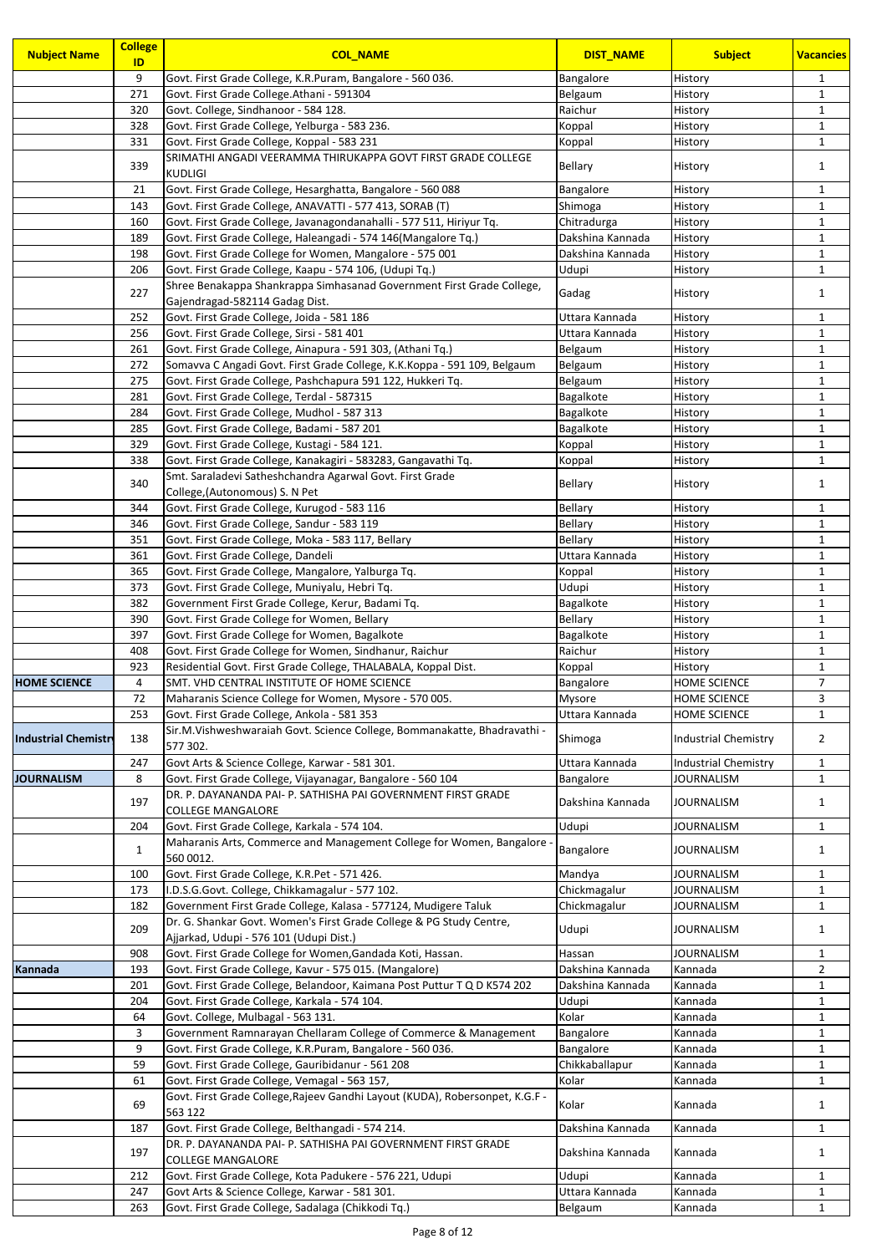| <b>Nubject Name</b>         | <b>College</b><br>ID | <b>COL NAME</b>                                                                                                                                         | <b>DIST NAME</b>                     | <b>Subject</b>              | <b>Vacancies</b>             |
|-----------------------------|----------------------|---------------------------------------------------------------------------------------------------------------------------------------------------------|--------------------------------------|-----------------------------|------------------------------|
|                             | 9                    | Govt. First Grade College, K.R.Puram, Bangalore - 560 036.                                                                                              | Bangalore                            | History                     | 1                            |
|                             | 271                  | Govt. First Grade College.Athani - 591304                                                                                                               | Belgaum                              | History                     | $\mathbf{1}$                 |
|                             | 320<br>328           | Govt. College, Sindhanoor - 584 128.<br>Govt. First Grade College, Yelburga - 583 236.                                                                  | Raichur                              | History                     | $\mathbf{1}$<br>$\mathbf{1}$ |
|                             | 331                  | Govt. First Grade College, Koppal - 583 231                                                                                                             | Koppal<br>Koppal                     | History<br>History          | $\mathbf{1}$                 |
|                             | 339                  | SRIMATHI ANGADI VEERAMMA THIRUKAPPA GOVT FIRST GRADE COLLEGE<br><b>KUDLIGI</b>                                                                          | Bellary                              | History                     | $\mathbf{1}$                 |
|                             | 21                   | Govt. First Grade College, Hesarghatta, Bangalore - 560 088                                                                                             | Bangalore                            | History                     | $\mathbf{1}$                 |
|                             | 143                  | Govt. First Grade College, ANAVATTI - 577 413, SORAB (T)                                                                                                | Shimoga                              | History                     | $\mathbf{1}$                 |
|                             | 160                  | Govt. First Grade College, Javanagondanahalli - 577 511, Hiriyur Tq.                                                                                    | Chitradurga                          | History                     | $\mathbf{1}$                 |
|                             | 189                  | Govt. First Grade College, Haleangadi - 574 146(Mangalore Tq.)                                                                                          | Dakshina Kannada                     | History                     | $\mathbf{1}$                 |
|                             | 198<br>206           | Govt. First Grade College for Women, Mangalore - 575 001<br>Govt. First Grade College, Kaapu - 574 106, (Udupi Tq.)                                     | Dakshina Kannada<br>Udupi            | History<br>History          | $\mathbf{1}$<br>$\mathbf 1$  |
|                             |                      | Shree Benakappa Shankrappa Simhasanad Government First Grade College,                                                                                   |                                      |                             |                              |
|                             | 227                  | Gajendragad-582114 Gadag Dist.                                                                                                                          | Gadag                                | History                     | $\mathbf{1}$                 |
|                             | 252                  | Govt. First Grade College, Joida - 581 186                                                                                                              | Uttara Kannada                       | History                     | $\mathbf{1}$                 |
|                             | 256                  | Govt. First Grade College, Sirsi - 581 401                                                                                                              | Uttara Kannada                       | History                     | $\mathbf{1}$                 |
|                             | 261                  | Govt. First Grade College, Ainapura - 591 303, (Athani Tq.)                                                                                             | Belgaum                              | History                     | $\mathbf{1}$                 |
|                             | 272<br>275           | Somavva C Angadi Govt. First Grade College, K.K.Koppa - 591 109, Belgaum<br>Govt. First Grade College, Pashchapura 591 122, Hukkeri Tq.                 | Belgaum<br>Belgaum                   | History                     | $\mathbf{1}$<br>$\mathbf{1}$ |
|                             | 281                  | Govt. First Grade College, Terdal - 587315                                                                                                              | Bagalkote                            | History<br>History          | $\mathbf 1$                  |
|                             | 284                  | Govt. First Grade College, Mudhol - 587 313                                                                                                             | Bagalkote                            | History                     | $\mathbf 1$                  |
|                             | 285                  | Govt. First Grade College, Badami - 587 201                                                                                                             | Bagalkote                            | History                     | $\mathbf{1}$                 |
|                             | 329                  | Govt. First Grade College, Kustagi - 584 121.                                                                                                           | Koppal                               | History                     | $\mathbf{1}$                 |
|                             | 338                  | Govt. First Grade College, Kanakagiri - 583283, Gangavathi Tq.                                                                                          | Koppal                               | History                     | $\mathbf{1}$                 |
|                             | 340                  | Smt. Saraladevi Satheshchandra Agarwal Govt. First Grade<br>College, (Autonomous) S. N Pet                                                              | Bellary                              | History                     | $\mathbf{1}$                 |
|                             | 344                  | Govt. First Grade College, Kurugod - 583 116                                                                                                            | <b>Bellary</b>                       | History                     | $\mathbf{1}$                 |
|                             | 346<br>351           | Govt. First Grade College, Sandur - 583 119<br>Govt. First Grade College, Moka - 583 117, Bellary                                                       | <b>Bellary</b><br>Bellary            | History<br>History          | $\mathbf{1}$<br>$\mathbf 1$  |
|                             | 361                  | Govt. First Grade College, Dandeli                                                                                                                      | Uttara Kannada                       | History                     | $\mathbf 1$                  |
|                             | 365                  | Govt. First Grade College, Mangalore, Yalburga Tq.                                                                                                      | Koppal                               | History                     | $\mathbf{1}$                 |
|                             | 373                  | Govt. First Grade College, Muniyalu, Hebri Tq.                                                                                                          | Udupi                                | History                     | $\mathbf{1}$                 |
|                             | 382                  | Government First Grade College, Kerur, Badami Tq.                                                                                                       | Bagalkote                            | History                     | $\mathbf{1}$                 |
|                             | 390                  | Govt. First Grade College for Women, Bellary                                                                                                            | Bellary                              | History                     | 1                            |
|                             | 397<br>408           | Govt. First Grade College for Women, Bagalkote<br>Govt. First Grade College for Women, Sindhanur, Raichur                                               | Bagalkote<br>Raichur                 | History<br>History          | $\mathbf 1$<br>$\mathbf{1}$  |
|                             | 923                  | Residential Govt. First Grade College, THALABALA, Koppal Dist.                                                                                          | Koppal                               | History                     | $\mathbf{1}$                 |
| <b>HOME SCIENCE</b>         | 4                    | SMT. VHD CENTRAL INSTITUTE OF HOME SCIENCE                                                                                                              | Bangalore                            | <b>HOME SCIENCE</b>         | 7                            |
|                             | 72                   | Maharanis Science College for Women, Mysore - 570 005.                                                                                                  | Mysore                               | <b>HOME SCIENCE</b>         | 3                            |
|                             | 253                  | Govt. First Grade College, Ankola - 581 353                                                                                                             | Uttara Kannada                       | HOME SCIENCE                | $\mathbf{1}$                 |
| <b>Industrial Chemistry</b> | 138                  | Sir.M.Vishweshwaraiah Govt. Science College, Bommanakatte, Bhadravathi -<br>577 302.                                                                    | Shimoga                              | <b>Industrial Chemistry</b> | $\mathbf{2}$                 |
|                             | 247<br>8             | Govt Arts & Science College, Karwar - 581 301.                                                                                                          | Uttara Kannada                       | <b>Industrial Chemistry</b> | 1                            |
| <b>JOURNALISM</b>           | 197                  | Govt. First Grade College, Vijayanagar, Bangalore - 560 104<br>DR. P. DAYANANDA PAI- P. SATHISHA PAI GOVERNMENT FIRST GRADE<br><b>COLLEGE MANGALORE</b> | <b>Bangalore</b><br>Dakshina Kannada | JOURNALISM<br>JOURNALISM    | 1<br>$\mathbf{1}$            |
|                             | 204                  | Govt. First Grade College, Karkala - 574 104.                                                                                                           | Udupi                                | JOURNALISM                  | $\mathbf{1}$                 |
|                             | $\mathbf{1}$         | Maharanis Arts, Commerce and Management College for Women, Bangalore<br>560 0012.                                                                       | Bangalore                            | JOURNALISM                  | $\mathbf{1}$                 |
|                             | 100                  | Govt. First Grade College, K.R.Pet - 571 426.                                                                                                           | Mandya                               | JOURNALISM                  | 1                            |
|                             | 173                  | I.D.S.G.Govt. College, Chikkamagalur - 577 102.                                                                                                         | Chickmagalur                         | JOURNALISM                  | $\mathbf{1}$                 |
|                             | 182                  | Government First Grade College, Kalasa - 577124, Mudigere Taluk                                                                                         | Chickmagalur                         | JOURNALISM                  | $\mathbf 1$                  |
|                             | 209                  | Dr. G. Shankar Govt. Women's First Grade College & PG Study Centre,<br>Ajjarkad, Udupi - 576 101 (Udupi Dist.)                                          | Udupi                                | JOURNALISM                  | $\mathbf{1}$                 |
|                             | 908                  | Govt. First Grade College for Women, Gandada Koti, Hassan.                                                                                              | Hassan                               | <b>JOURNALISM</b>           | $\mathbf{1}$                 |
| Kannada                     | 193                  | Govt. First Grade College, Kavur - 575 015. (Mangalore)                                                                                                 | Dakshina Kannada                     | Kannada                     | $\overline{2}$               |
|                             | 201<br>204           | Govt. First Grade College, Belandoor, Kaimana Post Puttur T Q D K574 202                                                                                | Dakshina Kannada                     | Kannada                     | $\mathbf{1}$                 |
|                             | 64                   | Govt. First Grade College, Karkala - 574 104.<br>Govt. College, Mulbagal - 563 131.                                                                     | Udupi<br>Kolar                       | Kannada<br>Kannada          | $\mathbf{1}$<br>$\mathbf{1}$ |
|                             | 3                    | Government Ramnarayan Chellaram College of Commerce & Management                                                                                        | Bangalore                            | Kannada                     | $\mathbf{1}$                 |
|                             | 9                    | Govt. First Grade College, K.R.Puram, Bangalore - 560 036.                                                                                              | Bangalore                            | Kannada                     | $\mathbf 1$                  |
|                             | 59                   | Govt. First Grade College, Gauribidanur - 561 208                                                                                                       | Chikkaballapur                       | Kannada                     | 1                            |
|                             | 61                   | Govt. First Grade College, Vemagal - 563 157,                                                                                                           | Kolar                                | Kannada                     | $\mathbf{1}$                 |
|                             | 69                   | Govt. First Grade College, Rajeev Gandhi Layout (KUDA), Robersonpet, K.G.F -<br>563 122                                                                 | Kolar                                | Kannada                     | 1                            |
|                             | 187                  | Govt. First Grade College, Belthangadi - 574 214.                                                                                                       | Dakshina Kannada                     | Kannada                     | 1                            |
|                             | 197                  | DR. P. DAYANANDA PAI- P. SATHISHA PAI GOVERNMENT FIRST GRADE<br><b>COLLEGE MANGALORE</b>                                                                | Dakshina Kannada                     | Kannada                     | $\mathbf{1}$                 |
|                             | 212<br>247           | Govt. First Grade College, Kota Padukere - 576 221, Udupi<br>Govt Arts & Science College, Karwar - 581 301.                                             | Udupi<br>Uttara Kannada              | Kannada<br>Kannada          | $\mathbf{1}$<br>1            |
|                             | 263                  | Govt. First Grade College, Sadalaga (Chikkodi Tq.)                                                                                                      | Belgaum                              | Kannada                     | $\mathbf{1}$                 |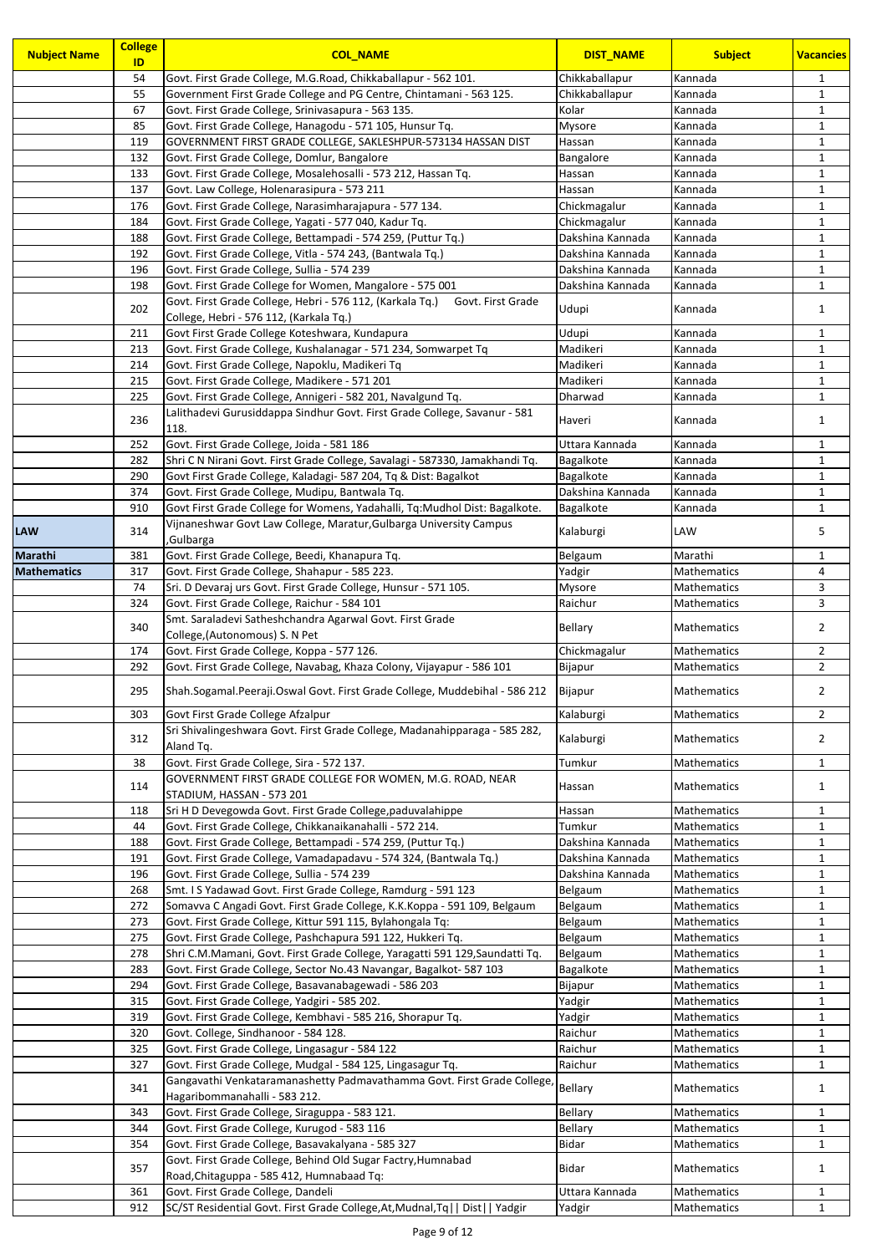| <b>Nubject Name</b> | <b>College</b><br>ID | <b>COL NAME</b>                                                                                                                           | <b>DIST_NAME</b>              | <b>Subject</b>                    | <b>Vacancies</b>             |
|---------------------|----------------------|-------------------------------------------------------------------------------------------------------------------------------------------|-------------------------------|-----------------------------------|------------------------------|
|                     | 54                   | Govt. First Grade College, M.G.Road, Chikkaballapur - 562 101.                                                                            | Chikkaballapur                | Kannada                           | $\mathbf{1}$                 |
|                     | 55                   | Government First Grade College and PG Centre, Chintamani - 563 125.                                                                       | Chikkaballapur                | Kannada                           | $\mathbf{1}$                 |
|                     | 67                   | Govt. First Grade College, Srinivasapura - 563 135.                                                                                       | Kolar                         | Kannada                           | $\mathbf{1}$                 |
|                     | 85                   | Govt. First Grade College, Hanagodu - 571 105, Hunsur Tq.                                                                                 | <b>Mysore</b>                 | Kannada                           | $\mathbf{1}$                 |
|                     | 119                  | GOVERNMENT FIRST GRADE COLLEGE, SAKLESHPUR-573134 HASSAN DIST                                                                             | Hassan                        | Kannada                           | $\mathbf{1}$                 |
|                     | 132<br>133           | Govt. First Grade College, Domlur, Bangalore<br>Govt. First Grade College, Mosalehosalli - 573 212, Hassan Tq.                            | Bangalore<br>Hassan           | Kannada<br>Kannada                | $\mathbf{1}$<br>$\mathbf{1}$ |
|                     | 137                  | Govt. Law College, Holenarasipura - 573 211                                                                                               | Hassan                        | Kannada                           | $\mathbf{1}$                 |
|                     | 176                  | Govt. First Grade College, Narasimharajapura - 577 134.                                                                                   | Chickmagalur                  | Kannada                           | $\mathbf 1$                  |
|                     | 184                  | Govt. First Grade College, Yagati - 577 040, Kadur Tq.                                                                                    | Chickmagalur                  | Kannada                           | $\mathbf{1}$                 |
|                     | 188                  | Govt. First Grade College, Bettampadi - 574 259, (Puttur Tg.)                                                                             | Dakshina Kannada              | Kannada                           | $\mathbf{1}$                 |
|                     | 192                  | Govt. First Grade College, Vitla - 574 243, (Bantwala Tq.)                                                                                | Dakshina Kannada              | Kannada                           | $\mathbf{1}$                 |
|                     | 196                  | Govt. First Grade College, Sullia - 574 239                                                                                               | Dakshina Kannada              | Kannada                           | $\mathbf{1}$                 |
|                     | 198                  | Govt. First Grade College for Women, Mangalore - 575 001                                                                                  | Dakshina Kannada              | Kannada                           | $\mathbf{1}$                 |
|                     | 202                  | Govt. First Grade College, Hebri - 576 112, (Karkala Tq.)<br>Govt. First Grade<br>College, Hebri - 576 112, (Karkala Tq.)                 | Udupi                         | Kannada                           | $\mathbf{1}$                 |
|                     | 211                  | Govt First Grade College Koteshwara, Kundapura                                                                                            | Udupi                         | Kannada                           | $\mathbf{1}$                 |
|                     | 213                  | Govt. First Grade College, Kushalanagar - 571 234, Somwarpet Tq                                                                           | Madikeri                      | Kannada                           | $\mathbf{1}$                 |
|                     | 214                  | Govt. First Grade College, Napoklu, Madikeri Tq                                                                                           | Madikeri                      | Kannada                           | $\mathbf{1}$                 |
|                     | 215                  | Govt. First Grade College, Madikere - 571 201                                                                                             | Madikeri                      | Kannada                           | $\mathbf{1}$                 |
|                     | 225                  | Govt. First Grade College, Annigeri - 582 201, Navalgund Tq.<br>Lalithadevi Gurusiddappa Sindhur Govt. First Grade College, Savanur - 581 | Dharwad                       | Kannada                           | $\mathbf{1}$                 |
|                     | 236                  | 118.                                                                                                                                      | Haveri                        | Kannada                           | $\mathbf{1}$                 |
|                     | 252                  | Govt. First Grade College, Joida - 581 186                                                                                                | Uttara Kannada                | Kannada                           | $\mathbf{1}$                 |
|                     | 282                  | Shri C N Nirani Govt. First Grade College, Savalagi - 587330, Jamakhandi Tq.                                                              | Bagalkote                     | Kannada                           | $\mathbf{1}$                 |
|                     | 290                  | Govt First Grade College, Kaladagi- 587 204, Tq & Dist: Bagalkot                                                                          | Bagalkote<br>Dakshina Kannada | Kannada                           | $\mathbf{1}$<br>$\mathbf{1}$ |
|                     | 374<br>910           | Govt. First Grade College, Mudipu, Bantwala Tq.<br>Govt First Grade College for Womens, Yadahalli, Tq:Mudhol Dist: Bagalkote.             | Bagalkote                     | Kannada<br>Kannada                | $\mathbf{1}$                 |
|                     |                      | Vijnaneshwar Govt Law College, Maratur, Gulbarga University Campus                                                                        |                               |                                   |                              |
| <b>LAW</b>          | 314                  | ,Gulbarga                                                                                                                                 | Kalaburgi                     | LAW                               | 5                            |
| Marathi             | 381                  | Govt. First Grade College, Beedi, Khanapura Tq.                                                                                           | Belgaum                       | Marathi                           | $\mathbf{1}$                 |
| <b>Mathematics</b>  | 317                  | Govt. First Grade College, Shahapur - 585 223.                                                                                            | Yadgir                        | Mathematics                       | 4                            |
|                     | 74                   | Sri. D Devaraj urs Govt. First Grade College, Hunsur - 571 105.                                                                           | Mysore                        | Mathematics                       | 3                            |
|                     | 324                  | Govt. First Grade College, Raichur - 584 101                                                                                              | Raichur                       | Mathematics                       | 3                            |
|                     | 340                  | Smt. Saraladevi Satheshchandra Agarwal Govt. First Grade<br>College, (Autonomous) S. N Pet                                                | Bellary                       | Mathematics                       | $\overline{2}$               |
|                     | 174                  | Govt. First Grade College, Koppa - 577 126.                                                                                               | Chickmagalur                  | <b>Mathematics</b>                | $\overline{2}$               |
|                     | 292                  | Govt. First Grade College, Navabag, Khaza Colony, Vijayapur - 586 101                                                                     | Bijapur                       | Mathematics                       | $\overline{2}$               |
|                     | 295                  | Shah.Sogamal.Peeraji.Oswal Govt. First Grade College, Muddebihal - 586 212                                                                | Bijapur                       | <b>Mathematics</b>                | $\overline{2}$               |
|                     | 303                  | Govt First Grade College Afzalpur                                                                                                         | Kalaburgi                     | Mathematics                       | $\overline{2}$               |
|                     | 312                  | Sri Shivalingeshwara Govt. First Grade College, Madanahipparaga - 585 282,<br>Aland Tq.                                                   | Kalaburgi                     | Mathematics                       | $\mathbf{2}$                 |
|                     | 38                   | Govt. First Grade College, Sira - 572 137.                                                                                                | Tumkur                        | Mathematics                       | $\mathbf{1}$                 |
|                     | 114                  | GOVERNMENT FIRST GRADE COLLEGE FOR WOMEN, M.G. ROAD, NEAR                                                                                 | Hassan                        | Mathematics                       | $\mathbf{1}$                 |
|                     |                      | STADIUM, HASSAN - 573 201                                                                                                                 |                               |                                   |                              |
|                     | 118                  | Sri H D Devegowda Govt. First Grade College, paduvalahippe                                                                                | Hassan                        | Mathematics                       | $\mathbf{1}$                 |
|                     | 44                   | Govt. First Grade College, Chikkanaikanahalli - 572 214.                                                                                  | Tumkur                        | Mathematics                       | $\mathbf{1}$                 |
|                     | 188                  | Govt. First Grade College, Bettampadi - 574 259, (Puttur Tq.)                                                                             | Dakshina Kannada              | Mathematics                       | $\mathbf{1}$                 |
|                     | 191                  | Govt. First Grade College, Vamadapadavu - 574 324, (Bantwala Tq.)                                                                         | Dakshina Kannada              | Mathematics                       | $\mathbf{1}$                 |
|                     | 196<br>268           | Govt. First Grade College, Sullia - 574 239<br>Smt. I S Yadawad Govt. First Grade College, Ramdurg - 591 123                              | Dakshina Kannada<br>Belgaum   | <b>Mathematics</b><br>Mathematics | $\mathbf{1}$<br>$\mathbf{1}$ |
|                     | 272                  | Somavva C Angadi Govt. First Grade College, K.K.Koppa - 591 109, Belgaum                                                                  | Belgaum                       | Mathematics                       | 1                            |
|                     | 273                  | Govt. First Grade College, Kittur 591 115, Bylahongala Tq:                                                                                | Belgaum                       | Mathematics                       | $\mathbf{1}$                 |
|                     | 275                  | Govt. First Grade College, Pashchapura 591 122, Hukkeri Tq.                                                                               | Belgaum                       | Mathematics                       | $\mathbf{1}$                 |
|                     | 278                  | Shri C.M.Mamani, Govt. First Grade College, Yaragatti 591 129, Saundatti Tq.                                                              | Belgaum                       | Mathematics                       | $\mathbf{1}$                 |
|                     | 283                  | Govt. First Grade College, Sector No.43 Navangar, Bagalkot- 587 103                                                                       | Bagalkote                     | Mathematics                       | $\mathbf{1}$                 |
|                     | 294                  | Govt. First Grade College, Basavanabagewadi - 586 203                                                                                     | Bijapur                       | Mathematics                       | $\mathbf{1}$                 |
|                     | 315                  | Govt. First Grade College, Yadgiri - 585 202.                                                                                             | Yadgir                        | Mathematics                       | $\mathbf{1}$                 |
|                     | 319                  | Govt. First Grade College, Kembhavi - 585 216, Shorapur Tq.                                                                               | Yadgir                        | <b>Mathematics</b>                | $\mathbf{1}$                 |
|                     | 320                  | Govt. College, Sindhanoor - 584 128.                                                                                                      | Raichur                       | Mathematics                       | $\mathbf{1}$                 |
|                     | 325<br>327           | Govt. First Grade College, Lingasagur - 584 122<br>Govt. First Grade College, Mudgal - 584 125, Lingasagur Tq.                            | Raichur<br>Raichur            | Mathematics<br>Mathematics        | $\mathbf{1}$<br>$\mathbf{1}$ |
|                     | 341                  | Gangavathi Venkataramanashetty Padmavathamma Govt. First Grade College,                                                                   | Bellary                       | Mathematics                       | $\mathbf{1}$                 |
|                     | 343                  | Hagaribommanahalli - 583 212.<br>Govt. First Grade College, Siraguppa - 583 121.                                                          | Bellary                       | Mathematics                       | $\mathbf{1}$                 |
|                     | 344                  | Govt. First Grade College, Kurugod - 583 116                                                                                              | Bellary                       | Mathematics                       | $\mathbf{1}$                 |
|                     | 354                  | Govt. First Grade College, Basavakalyana - 585 327                                                                                        | Bidar                         | Mathematics                       | $\mathbf{1}$                 |
|                     | 357                  | Govt. First Grade College, Behind Old Sugar Factry, Humnabad                                                                              | <b>Bidar</b>                  | Mathematics                       | $\mathbf{1}$                 |
|                     | 361                  | Road, Chitaguppa - 585 412, Humnabaad Tq:                                                                                                 | Uttara Kannada                | Mathematics                       |                              |
|                     | 912                  | Govt. First Grade College, Dandeli<br>SC/ST Residential Govt. First Grade College, At, Mudnal, Tq   Dist   Yadgir                         | Yadgir                        | Mathematics                       | $\mathbf{1}$<br>$\mathbf{1}$ |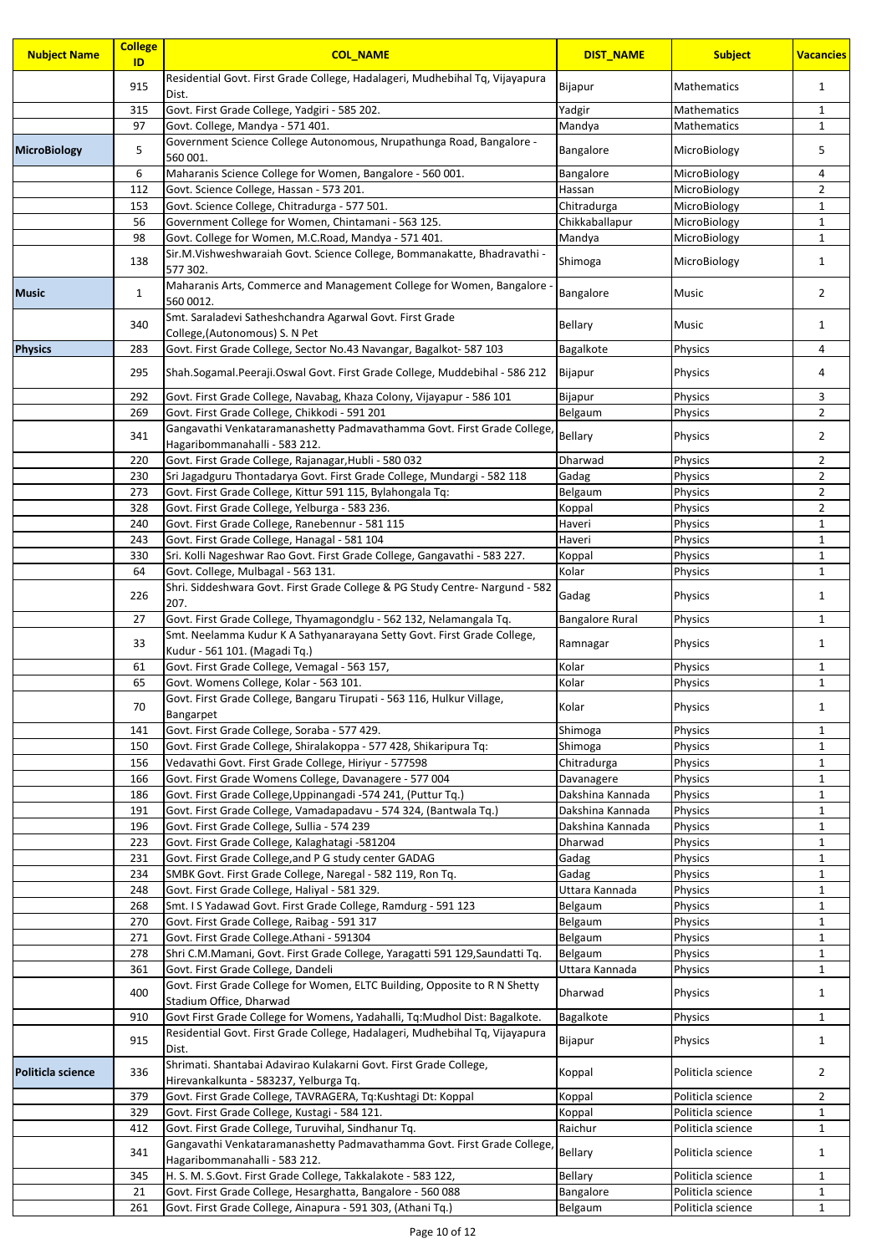| <b>Nubject Name</b> | <b>College</b><br>ID | <b>COL NAME</b>                                                                                                                  | <b>DIST_NAME</b>                     | <b>Subject</b>            | <b>Vacancies</b>             |
|---------------------|----------------------|----------------------------------------------------------------------------------------------------------------------------------|--------------------------------------|---------------------------|------------------------------|
|                     | 915                  | Residential Govt. First Grade College, Hadalageri, Mudhebihal Tq, Vijayapura<br>Dist.                                            | <b>Bijapur</b>                       | Mathematics               | $\mathbf{1}$                 |
|                     | 315                  | Govt. First Grade College, Yadgiri - 585 202.                                                                                    | Yadgir                               | Mathematics               | $\mathbf{1}$                 |
|                     | 97                   | Govt. College, Mandya - 571 401.                                                                                                 | Mandya                               | Mathematics               | $\mathbf{1}$                 |
| <b>MicroBiology</b> | 5                    | Government Science College Autonomous, Nrupathunga Road, Bangalore -<br>560 001.                                                 | Bangalore                            | MicroBiology              | 5                            |
|                     | 6                    | Maharanis Science College for Women, Bangalore - 560 001.                                                                        | Bangalore                            | MicroBiology              | 4                            |
|                     | 112                  | Govt. Science College, Hassan - 573 201.                                                                                         | Hassan                               | MicroBiology              | 2                            |
|                     | 153                  | Govt. Science College, Chitradurga - 577 501.                                                                                    | Chitradurga                          | MicroBiology              | 1                            |
|                     | 56                   | Government College for Women, Chintamani - 563 125.                                                                              | Chikkaballapur                       | MicroBiology              | $\mathbf{1}$                 |
|                     | 98                   | Govt. College for Women, M.C.Road, Mandya - 571 401.<br>Sir.M.Vishweshwaraiah Govt. Science College, Bommanakatte, Bhadravathi - | Mandya                               | MicroBiology              | $\mathbf{1}$                 |
|                     | 138                  | 577 302.<br>Maharanis Arts, Commerce and Management College for Women, Bangalore -                                               | Shimoga                              | MicroBiology              | $\mathbf{1}$                 |
| <b>Music</b>        | $\mathbf{1}$         | 560 0012.                                                                                                                        | Bangalore                            | Music                     | $\overline{2}$               |
|                     | 340                  | Smt. Saraladevi Satheshchandra Agarwal Govt. First Grade<br>College, (Autonomous) S. N Pet                                       | <b>Bellary</b>                       | Music                     | 1                            |
| <b>Physics</b>      | 283                  | Govt. First Grade College, Sector No.43 Navangar, Bagalkot-587 103                                                               | Bagalkote                            | Physics                   | 4                            |
|                     | 295                  | Shah.Sogamal.Peeraji.Oswal Govt. First Grade College, Muddebihal - 586 212                                                       | <b>Bijapur</b>                       | Physics                   | 4                            |
|                     | 292<br>269           | Govt. First Grade College, Navabag, Khaza Colony, Vijayapur - 586 101<br>Govt. First Grade College, Chikkodi - 591 201           | Bijapur<br>Belgaum                   | Physics<br>Physics        | 3<br>$\overline{2}$          |
|                     | 341                  | Gangavathi Venkataramanashetty Padmavathamma Govt. First Grade College,<br>Hagaribommanahalli - 583 212.                         | Bellary                              | <b>Physics</b>            | $\overline{2}$               |
|                     | 220                  | Govt. First Grade College, Rajanagar, Hubli - 580 032                                                                            | Dharwad                              | Physics                   | $\overline{2}$               |
|                     | 230                  | Sri Jagadguru Thontadarya Govt. First Grade College, Mundargi - 582 118                                                          | Gadag                                | Physics                   | $\overline{2}$               |
|                     | 273                  | Govt. First Grade College, Kittur 591 115, Bylahongala Tq:                                                                       | Belgaum                              | Physics                   | $\overline{2}$               |
|                     | 328                  | Govt. First Grade College, Yelburga - 583 236.                                                                                   | Koppal                               | Physics                   | $\overline{2}$               |
|                     | 240                  | Govt. First Grade College, Ranebennur - 581 115                                                                                  | Haveri                               | Physics                   | $\mathbf{1}$                 |
|                     | 243<br>330           | Govt. First Grade College, Hanagal - 581 104<br>Sri. Kolli Nageshwar Rao Govt. First Grade College, Gangavathi - 583 227.        | Haveri                               | Physics<br>Physics        | $\mathbf{1}$<br>$\mathbf{1}$ |
|                     | 64                   | Govt. College, Mulbagal - 563 131.                                                                                               | Koppal<br>Kolar                      | Physics                   | $\mathbf{1}$                 |
|                     | 226                  | Shri. Siddeshwara Govt. First Grade College & PG Study Centre- Nargund - 582<br>207.                                             | Gadag                                | <b>Physics</b>            | $\mathbf{1}$                 |
|                     | 27                   | Govt. First Grade College, Thyamagondglu - 562 132, Nelamangala Tq.                                                              | <b>Bangalore Rural</b>               | Physics                   | 1                            |
|                     | 33                   | Smt. Neelamma Kudur K A Sathyanarayana Setty Govt. First Grade College,<br>Kudur - 561 101. (Magadi Tq.)                         | Ramnagar                             | Physics                   | $\mathbf{1}$                 |
|                     | 61                   | Govt. First Grade College, Vemagal - 563 157,                                                                                    | Kolar                                | Physics                   | 1                            |
|                     | 65                   | Govt. Womens College, Kolar - 563 101.                                                                                           | Kolar                                | Physics                   | $\mathbf{1}$                 |
|                     | 70                   | Govt. First Grade College, Bangaru Tirupati - 563 116, Hulkur Village,<br>Bangarpet                                              | Kolar                                | <b>Physics</b>            | 1                            |
|                     | 141                  | Govt. First Grade College, Soraba - 577 429.                                                                                     | Shimoga                              | Physics                   | 1                            |
|                     | 150                  | Govt. First Grade College, Shiralakoppa - 577 428, Shikaripura Tq:                                                               | Shimoga                              | Physics                   | $\mathbf{1}$                 |
|                     | 156                  | Vedavathi Govt. First Grade College, Hiriyur - 577598                                                                            | Chitradurga                          | Physics                   | 1                            |
|                     | 166                  | Govt. First Grade Womens College, Davanagere - 577 004                                                                           | Davanagere                           | <b>Physics</b>            | $\mathbf{1}$                 |
|                     | 186                  | Govt. First Grade College, Uppinangadi -574 241, (Puttur Tq.)                                                                    | Dakshina Kannada                     | Physics                   | $\mathbf 1$                  |
|                     | 191<br>196           | Govt. First Grade College, Vamadapadavu - 574 324, (Bantwala Tq.)<br>Govt. First Grade College, Sullia - 574 239                 | Dakshina Kannada<br>Dakshina Kannada | Physics<br>Physics        | $\mathbf{1}$<br>$\mathbf{1}$ |
|                     | 223                  | Govt. First Grade College, Kalaghatagi -581204                                                                                   | Dharwad                              | Physics                   | 1                            |
|                     | 231                  | Govt. First Grade College, and P G study center GADAG                                                                            | Gadag                                | Physics                   | 1                            |
|                     | 234                  | SMBK Govt. First Grade College, Naregal - 582 119, Ron Tq.                                                                       | Gadag                                | Physics                   | 1                            |
|                     | 248                  | Govt. First Grade College, Haliyal - 581 329.                                                                                    | Uttara Kannada                       | <b>Physics</b>            | $\mathbf{1}$                 |
|                     | 268                  | Smt. I S Yadawad Govt. First Grade College, Ramdurg - 591 123                                                                    | Belgaum                              | Physics                   | $\mathbf{1}$                 |
|                     | 270                  | Govt. First Grade College, Raibag - 591 317                                                                                      | Belgaum                              | <b>Physics</b>            | $\mathbf{1}$                 |
|                     | 271                  | Govt. First Grade College.Athani - 591304                                                                                        | Belgaum                              | Physics                   | $\mathbf{1}$                 |
|                     | 278<br>361           | Shri C.M.Mamani, Govt. First Grade College, Yaragatti 591 129, Saundatti Tq.<br>Govt. First Grade College, Dandeli               | Belgaum<br>Uttara Kannada            | Physics<br><b>Physics</b> | $\mathbf{1}$<br>$\mathbf{1}$ |
|                     | 400                  | Govt. First Grade College for Women, ELTC Building, Opposite to R N Shetty                                                       | Dharwad                              | Physics                   | $\mathbf{1}$                 |
|                     | 910                  | Stadium Office, Dharwad<br>Govt First Grade College for Womens, Yadahalli, Tq:Mudhol Dist: Bagalkote.                            | Bagalkote                            | Physics                   | $\mathbf{1}$                 |
|                     | 915                  | Residential Govt. First Grade College, Hadalageri, Mudhebihal Tq, Vijayapura                                                     | Bijapur                              | <b>Physics</b>            | $\mathbf{1}$                 |
| Politicla science   | 336                  | Dist.<br>Shrimati. Shantabai Adavirao Kulakarni Govt. First Grade College,                                                       | Koppal                               | Politicla science         | $\overline{2}$               |
|                     | 379                  | Hirevankalkunta - 583237, Yelburga Tq.<br>Govt. First Grade College, TAVRAGERA, Tq:Kushtagi Dt: Koppal                           | Koppal                               | Politicla science         | $\overline{2}$               |
|                     | 329                  | Govt. First Grade College, Kustagi - 584 121.                                                                                    | Koppal                               | Politicla science         | 1                            |
|                     | 412                  | Govt. First Grade College, Turuvihal, Sindhanur Tq.                                                                              | Raichur                              | Politicla science         | 1                            |
|                     | 341                  | Gangavathi Venkataramanashetty Padmavathamma Govt. First Grade College,<br>Hagaribommanahalli - 583 212.                         | Bellary                              | Politicla science         | $\mathbf{1}$                 |
|                     | 345                  | H. S. M. S.Govt. First Grade College, Takkalakote - 583 122,                                                                     | <b>Bellary</b>                       | Politicla science         | $\mathbf{1}$                 |
|                     | 21                   | Govt. First Grade College, Hesarghatta, Bangalore - 560 088                                                                      | Bangalore                            | Politicla science         | $\mathbf{1}$                 |
|                     | 261                  | Govt. First Grade College, Ainapura - 591 303, (Athani Tq.)                                                                      | Belgaum                              | Politicla science         | $\mathbf{1}$                 |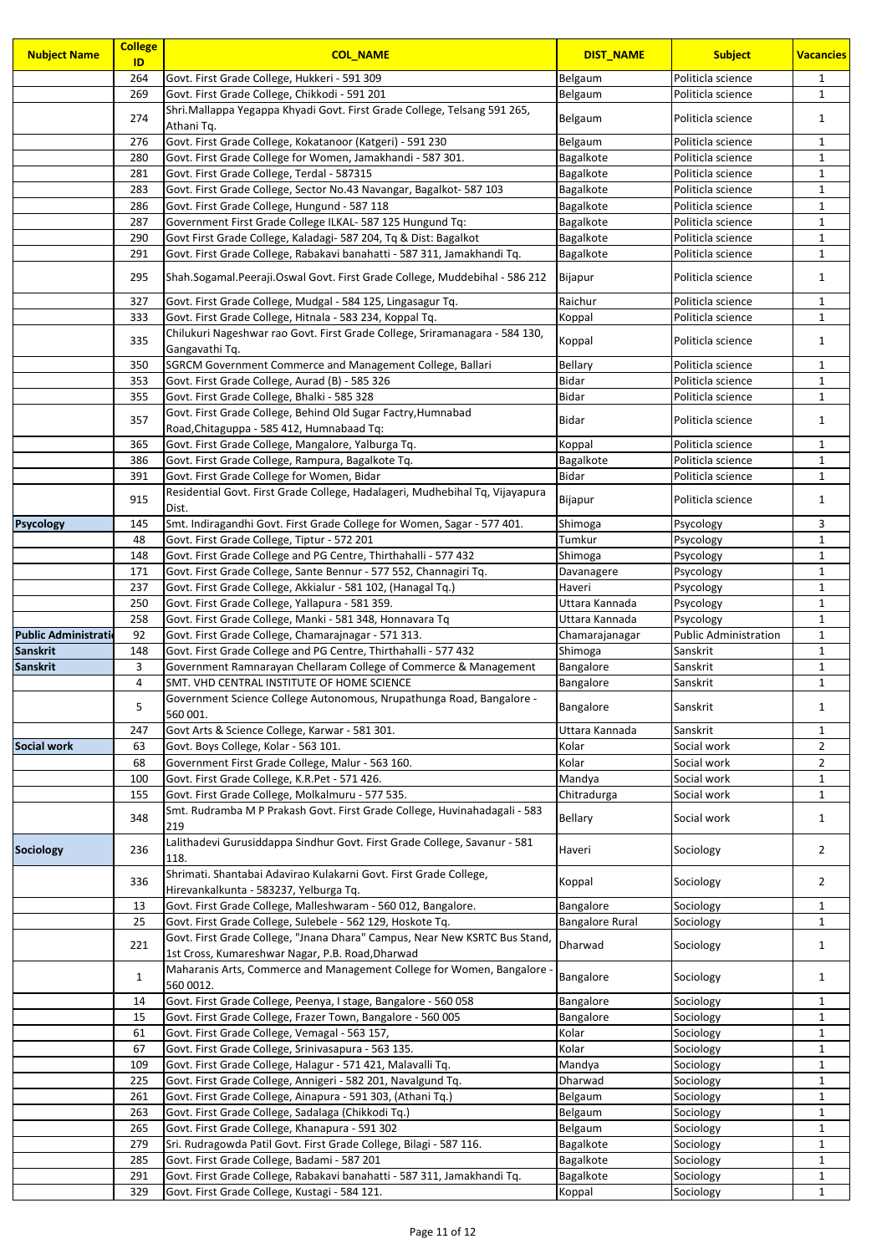| <b>Nubject Name</b>          | <b>College</b><br>ID | <b>COL NAME</b>                                                                                                                             | <b>DIST NAME</b>       | <b>Subject</b>                         | <b>Vacancies</b>             |
|------------------------------|----------------------|---------------------------------------------------------------------------------------------------------------------------------------------|------------------------|----------------------------------------|------------------------------|
|                              | 264                  | Govt. First Grade College, Hukkeri - 591 309                                                                                                | Belgaum                | Politicla science                      | $\mathbf{1}$                 |
|                              | 269                  | Govt. First Grade College, Chikkodi - 591 201                                                                                               | Belgaum                | Politicla science                      | $\mathbf{1}$                 |
|                              | 274                  | Shri.Mallappa Yegappa Khyadi Govt. First Grade College, Telsang 591 265,<br>Athani Tq.                                                      | Belgaum                | Politicla science                      | $\mathbf{1}$                 |
|                              | 276                  | Govt. First Grade College, Kokatanoor (Katgeri) - 591 230                                                                                   | Belgaum                | Politicla science                      | 1                            |
|                              | 280                  | Govt. First Grade College for Women, Jamakhandi - 587 301.                                                                                  | Bagalkote              | Politicla science                      | $\mathbf{1}$                 |
|                              | 281                  | Govt. First Grade College, Terdal - 587315                                                                                                  | Bagalkote              | Politicla science                      | 1                            |
|                              | 283                  | Govt. First Grade College, Sector No.43 Navangar, Bagalkot-587 103                                                                          | Bagalkote              | Politicla science                      | $\mathbf 1$                  |
|                              | 286                  | Govt. First Grade College, Hungund - 587 118                                                                                                | Bagalkote              | Politicla science                      | $\mathbf{1}$                 |
|                              | 287                  | Government First Grade College ILKAL- 587 125 Hungund Tq:                                                                                   | Bagalkote              | Politicla science                      | $\mathbf{1}$                 |
|                              | 290<br>291           | Govt First Grade College, Kaladagi- 587 204, Tq & Dist: Bagalkot<br>Govt. First Grade College, Rabakavi banahatti - 587 311, Jamakhandi Tq. | Bagalkote<br>Bagalkote | Politicla science<br>Politicla science | $\mathbf{1}$<br>$\mathbf{1}$ |
|                              | 295                  | Shah.Sogamal.Peeraji.Oswal Govt. First Grade College, Muddebihal - 586 212                                                                  | Bijapur                | Politicla science                      | $\mathbf{1}$                 |
|                              | 327                  |                                                                                                                                             | Raichur                |                                        | 1                            |
|                              | 333                  | Govt. First Grade College, Mudgal - 584 125, Lingasagur Tq.<br>Govt. First Grade College, Hitnala - 583 234, Koppal Tq.                     | Koppal                 | Politicla science<br>Politicla science | 1                            |
|                              |                      | Chilukuri Nageshwar rao Govt. First Grade College, Sriramanagara - 584 130,                                                                 |                        |                                        |                              |
|                              | 335                  | Gangavathi Tq.                                                                                                                              | Koppal                 | Politicla science                      | $\mathbf{1}$                 |
|                              | 350                  | SGRCM Government Commerce and Management College, Ballari                                                                                   | <b>Bellary</b>         | Politicla science                      | $\mathbf{1}$                 |
|                              | 353                  | Govt. First Grade College, Aurad (B) - 585 326                                                                                              | <b>Bidar</b>           | Politicla science                      | $\mathbf{1}$                 |
|                              | 355<br>357           | Govt. First Grade College, Bhalki - 585 328<br>Govt. First Grade College, Behind Old Sugar Factry, Humnabad                                 | Bidar<br>Bidar         | Politicla science<br>Politicla science | 1<br>$\mathbf{1}$            |
|                              |                      | Road, Chitaguppa - 585 412, Humnabaad Tq:                                                                                                   |                        |                                        |                              |
|                              | 365                  | Govt. First Grade College, Mangalore, Yalburga Tq.                                                                                          | Koppal                 | Politicla science                      | $\mathbf{1}$                 |
|                              | 386                  | Govt. First Grade College, Rampura, Bagalkote Tq.                                                                                           | Bagalkote              | Politicla science                      | $\mathbf{1}$                 |
|                              | 391                  | Govt. First Grade College for Women, Bidar                                                                                                  | Bidar                  | Politicla science                      | $\mathbf{1}$                 |
|                              | 915                  | Residential Govt. First Grade College, Hadalageri, Mudhebihal Tq, Vijayapura<br>Dist.                                                       | Bijapur                | Politicla science                      | $\mathbf{1}$                 |
| <b>Psycology</b>             | 145                  | Smt. Indiragandhi Govt. First Grade College for Women, Sagar - 577 401.                                                                     | Shimoga                | Psycology                              | 3                            |
|                              | 48                   | Govt. First Grade College, Tiptur - 572 201                                                                                                 | Tumkur                 | Psycology                              | 1                            |
|                              | 148                  | Govt. First Grade College and PG Centre, Thirthahalli - 577 432                                                                             | Shimoga                | Psycology                              | $\mathbf 1$                  |
|                              | 171                  | Govt. First Grade College, Sante Bennur - 577 552, Channagiri Tq.                                                                           | Davanagere             | Psycology                              | $\mathbf{1}$                 |
|                              | 237                  | Govt. First Grade College, Akkialur - 581 102, (Hanagal Tq.)                                                                                | Haveri                 | Psycology                              | $\mathbf{1}$                 |
|                              | 250                  | Govt. First Grade College, Yallapura - 581 359.                                                                                             | Uttara Kannada         | Psycology                              | $\mathbf{1}$                 |
|                              | 258                  | Govt. First Grade College, Manki - 581 348, Honnavara Tq                                                                                    | Uttara Kannada         | Psycology                              | $\mathbf{1}$                 |
| <b>Public Administration</b> | 92                   | Govt. First Grade College, Chamarajnagar - 571 313.                                                                                         | Chamarajanagar         | <b>Public Administration</b>           | $\mathbf{1}$                 |
| Sanskrit                     | 148                  | Govt. First Grade College and PG Centre, Thirthahalli - 577 432                                                                             | Shimoga                | Sanskrit                               | $\mathbf{1}$                 |
| <b>Sanskrit</b>              | 3<br>4               | Government Ramnarayan Chellaram College of Commerce & Management<br>SMT. VHD CENTRAL INSTITUTE OF HOME SCIENCE                              | Bangalore              | Sanskrit                               | $\mathbf{1}$                 |
|                              |                      | Government Science College Autonomous, Nrupathunga Road, Bangalore -                                                                        | Bangalore              | Sanskrit                               | 1                            |
|                              | 5                    | 560 001.                                                                                                                                    | Bangalore              | Sanskrit                               | 1                            |
|                              | 247                  | Govt Arts & Science College, Karwar - 581 301.                                                                                              | Uttara Kannada         | Sanskrit                               | $\mathbf{1}$                 |
| <b>Social work</b>           | 63                   | Govt. Boys College, Kolar - 563 101.                                                                                                        | Kolar                  | Social work                            | $\overline{2}$               |
|                              | 68                   | Government First Grade College, Malur - 563 160.                                                                                            | Kolar                  | Social work                            | 2                            |
|                              | 100<br>155           | Govt. First Grade College, K.R.Pet - 571 426.<br>Govt. First Grade College, Molkalmuru - 577 535.                                           | Mandya<br>Chitradurga  | Social work<br>Social work             | 1<br>1                       |
|                              |                      | Smt. Rudramba M P Prakash Govt. First Grade College, Huvinahadagali - 583                                                                   |                        |                                        |                              |
|                              | 348                  | 219                                                                                                                                         | <b>Bellary</b>         | Social work                            | $\mathbf{1}$                 |
| <b>Sociology</b>             | 236                  | Lalithadevi Gurusiddappa Sindhur Govt. First Grade College, Savanur - 581<br>118.                                                           | Haveri                 | Sociology                              | $\overline{2}$               |
|                              | 336                  | Shrimati. Shantabai Adavirao Kulakarni Govt. First Grade College,<br>Hirevankalkunta - 583237, Yelburga Tq.                                 | Koppal                 | Sociology                              | $\overline{2}$               |
|                              | 13                   | Govt. First Grade College, Malleshwaram - 560 012, Bangalore.                                                                               | Bangalore              | Sociology                              | 1                            |
|                              | 25                   | Govt. First Grade College, Sulebele - 562 129, Hoskote Tq.                                                                                  | <b>Bangalore Rural</b> | Sociology                              | 1                            |
|                              | 221                  | Govt. First Grade College, "Jnana Dhara" Campus, Near New KSRTC Bus Stand,<br>1st Cross, Kumareshwar Nagar, P.B. Road, Dharwad              | Dharwad                | Sociology                              | $\mathbf{1}$                 |
|                              | $\mathbf{1}$         | Maharanis Arts, Commerce and Management College for Women, Bangalore<br>560 0012.                                                           | Bangalore              | Sociology                              | 1                            |
|                              | 14                   | Govt. First Grade College, Peenya, I stage, Bangalore - 560 058                                                                             | Bangalore              | Sociology                              | $\mathbf{1}$                 |
|                              | 15                   | Govt. First Grade College, Frazer Town, Bangalore - 560 005                                                                                 | Bangalore              | Sociology                              | $\mathbf{1}$                 |
|                              | 61                   | Govt. First Grade College, Vemagal - 563 157,                                                                                               | Kolar                  | Sociology                              | $\mathbf{1}$                 |
|                              | 67                   | Govt. First Grade College, Srinivasapura - 563 135.                                                                                         | Kolar                  | Sociology                              | 1                            |
|                              | 109                  | Govt. First Grade College, Halagur - 571 421, Malavalli Tq.                                                                                 | Mandya                 | Sociology                              | $\mathbf 1$                  |
|                              | 225                  | Govt. First Grade College, Annigeri - 582 201, Navalgund Tq.                                                                                | Dharwad                | Sociology                              | $\mathbf 1$                  |
|                              | 261                  | Govt. First Grade College, Ainapura - 591 303, (Athani Tq.)                                                                                 | Belgaum                | Sociology                              | 1                            |
|                              | 263                  | Govt. First Grade College, Sadalaga (Chikkodi Tq.)                                                                                          | Belgaum                | Sociology                              | $\mathbf{1}$                 |
|                              | 265<br>279           | Govt. First Grade College, Khanapura - 591 302<br>Sri. Rudragowda Patil Govt. First Grade College, Bilagi - 587 116.                        | Belgaum<br>Bagalkote   | Sociology                              | $\mathbf{1}$<br>$\mathbf{1}$ |
|                              | 285                  | Govt. First Grade College, Badami - 587 201                                                                                                 | Bagalkote              | Sociology<br>Sociology                 | $\mathbf{1}$                 |
|                              | 291                  | Govt. First Grade College, Rabakavi banahatti - 587 311, Jamakhandi Tq.                                                                     | Bagalkote              | Sociology                              | $\mathbf{1}$                 |
|                              | 329                  | Govt. First Grade College, Kustagi - 584 121.                                                                                               | Koppal                 | Sociology                              | $\mathbf{1}$                 |
|                              |                      |                                                                                                                                             |                        |                                        |                              |